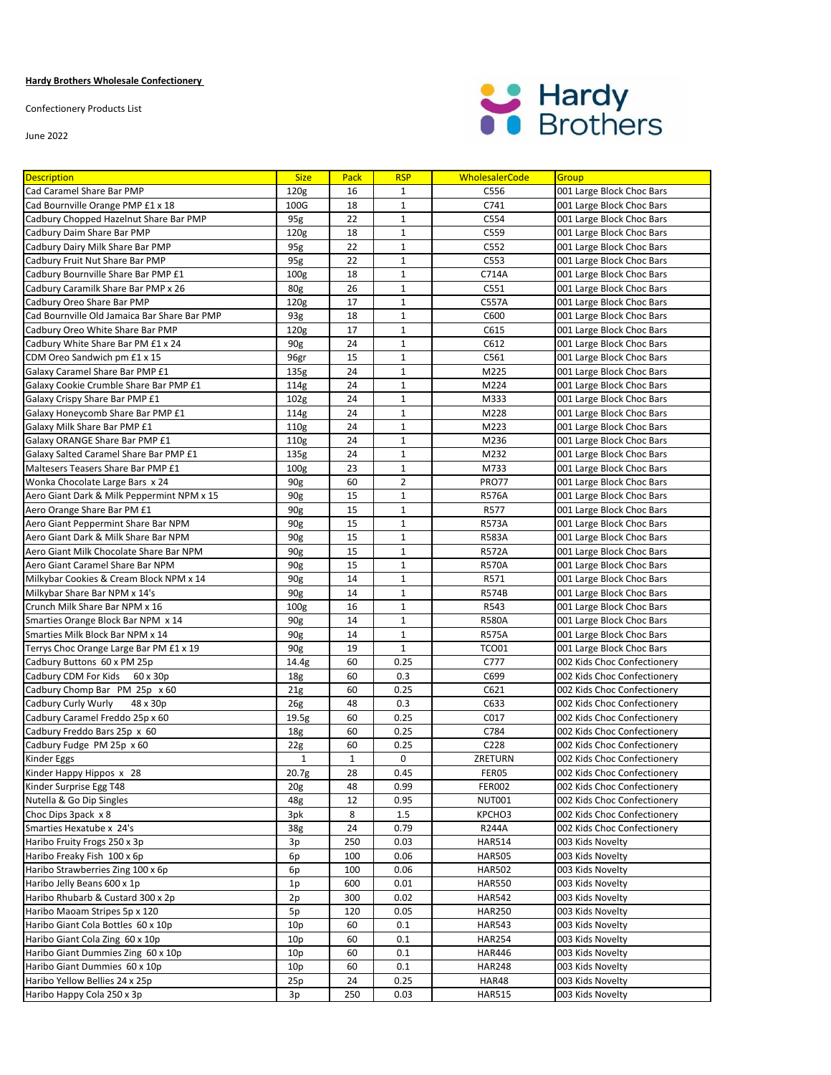## **Hardy Brothers Wholesale Confectionery**

Confectionery Products List

June 2022



| <b>Description</b>                           | <b>Size</b>      | Pack  | <b>RSP</b>     | <b>WholesalerCode</b> | Group                       |
|----------------------------------------------|------------------|-------|----------------|-----------------------|-----------------------------|
| Cad Caramel Share Bar PMP                    | 120 <sub>g</sub> | 16    | $\mathbf{1}$   | C556                  | 001 Large Block Choc Bars   |
| Cad Bournville Orange PMP £1 x 18            | 100G             | 18    | $\mathbf{1}$   | C741                  | 001 Large Block Choc Bars   |
| Cadbury Chopped Hazelnut Share Bar PMP       | 95g              | 22    | $\mathbf{1}$   | C554                  | 001 Large Block Choc Bars   |
| Cadbury Daim Share Bar PMP                   | 120 <sub>g</sub> | 18    | $\mathbf{1}$   | C559                  | 001 Large Block Choc Bars   |
| Cadbury Dairy Milk Share Bar PMP             | 95g              | 22    | $\mathbf{1}$   | C552                  | 001 Large Block Choc Bars   |
| Cadbury Fruit Nut Share Bar PMP              | 95g              | 22    | $\mathbf{1}$   | C553                  | 001 Large Block Choc Bars   |
| Cadbury Bournville Share Bar PMP £1          | 100 <sub>g</sub> | 18    | $\mathbf{1}$   | C714A                 | 001 Large Block Choc Bars   |
| Cadbury Caramilk Share Bar PMP x 26          | 80g              | 26    | $\mathbf 1$    | C551                  | 001 Large Block Choc Bars   |
| Cadbury Oreo Share Bar PMP                   | 120 <sub>g</sub> | 17    | $\mathbf{1}$   | C557A                 | 001 Large Block Choc Bars   |
| Cad Bournville Old Jamaica Bar Share Bar PMP | 93g              | 18    | $\mathbf{1}$   | C600                  | 001 Large Block Choc Bars   |
| Cadbury Oreo White Share Bar PMP             | 120 <sub>g</sub> | 17    | $\mathbf{1}$   | C615                  | 001 Large Block Choc Bars   |
| Cadbury White Share Bar PM £1 x 24           | 90g              | 24    | $\mathbf{1}$   | C612                  | 001 Large Block Choc Bars   |
| CDM Oreo Sandwich pm £1 x 15                 | 96gr             | 15    | $\mathbf{1}$   | C561                  | 001 Large Block Choc Bars   |
| Galaxy Caramel Share Bar PMP £1              | 135g             | 24    | $\mathbf{1}$   | M225                  | 001 Large Block Choc Bars   |
| Galaxy Cookie Crumble Share Bar PMP £1       | 114g             | 24    | $\mathbf{1}$   | M224                  | 001 Large Block Choc Bars   |
| Galaxy Crispy Share Bar PMP £1               | 102 <sub>g</sub> | 24    | $\mathbf{1}$   | M333                  | 001 Large Block Choc Bars   |
| Galaxy Honeycomb Share Bar PMP £1            | 114g             | 24    | $\mathbf{1}$   | M228                  | 001 Large Block Choc Bars   |
| Galaxy Milk Share Bar PMP £1                 | 110g             | 24    | $\mathbf{1}$   | M223                  | 001 Large Block Choc Bars   |
| Galaxy ORANGE Share Bar PMP £1               | 110g             | 24    | $\mathbf{1}$   | M236                  | 001 Large Block Choc Bars   |
| Galaxy Salted Caramel Share Bar PMP £1       | 135g             | 24    | $\mathbf{1}$   | M232                  | 001 Large Block Choc Bars   |
| Maltesers Teasers Share Bar PMP £1           | 100 <sub>g</sub> | 23    | $\mathbf{1}$   | M733                  | 001 Large Block Choc Bars   |
| Wonka Chocolate Large Bars x 24              | 90g              | 60    | $\overline{2}$ | <b>PRO77</b>          | 001 Large Block Choc Bars   |
| Aero Giant Dark & Milk Peppermint NPM x 15   | 90 <sub>g</sub>  | 15    | $\mathbf{1}$   | <b>R576A</b>          | 001 Large Block Choc Bars   |
| Aero Orange Share Bar PM £1                  | 90 <sub>g</sub>  | 15    | $\mathbf{1}$   | R577                  | 001 Large Block Choc Bars   |
| Aero Giant Peppermint Share Bar NPM          | 90g              | 15    | $\mathbf{1}$   | <b>R573A</b>          | 001 Large Block Choc Bars   |
| Aero Giant Dark & Milk Share Bar NPM         | 90g              | 15    | $\mathbf{1}$   | <b>R583A</b>          | 001 Large Block Choc Bars   |
| Aero Giant Milk Chocolate Share Bar NPM      | 90g              | 15    | $\mathbf{1}$   | <b>R572A</b>          | 001 Large Block Choc Bars   |
| Aero Giant Caramel Share Bar NPM             | 90g              | 15    | $\mathbf{1}$   | <b>R570A</b>          | 001 Large Block Choc Bars   |
| Milkybar Cookies & Cream Block NPM x 14      | 90g              | 14    | $\mathbf{1}$   | R571                  | 001 Large Block Choc Bars   |
| Milkybar Share Bar NPM x 14's                | 90g              | 14    | $\mathbf{1}$   | <b>R574B</b>          | 001 Large Block Choc Bars   |
| Crunch Milk Share Bar NPM x 16               | 100 <sub>g</sub> | 16    | $\mathbf{1}$   | R543                  | 001 Large Block Choc Bars   |
| Smarties Orange Block Bar NPM x 14           | 90g              | 14    | $\mathbf{1}$   | <b>R580A</b>          | 001 Large Block Choc Bars   |
| Smarties Milk Block Bar NPM x 14             | 90g              | 14    | $\mathbf{1}$   | <b>R575A</b>          | 001 Large Block Choc Bars   |
| Terrys Choc Orange Large Bar PM £1 x 19      | 90g              | 19    | $\mathbf{1}$   | <b>TCO01</b>          | 001 Large Block Choc Bars   |
| Cadbury Buttons 60 x PM 25p                  | 14.4g            | 60    | 0.25           | C777                  | 002 Kids Choc Confectionery |
| Cadbury CDM For Kids<br>60 x 30p             | 18 <sub>g</sub>  | 60    | 0.3            | C699                  | 002 Kids Choc Confectionery |
| Cadbury Chomp Bar PM 25p x 60                | 21g              | 60    | 0.25           | C621                  | 002 Kids Choc Confectionery |
| Cadbury Curly Wurly<br>48 x 30p              | 26g              | 48    | 0.3            | C633                  | 002 Kids Choc Confectionery |
| Cadbury Caramel Freddo 25p x 60              | 19.5g            | 60    | 0.25           | C017                  | 002 Kids Choc Confectionery |
| Cadbury Freddo Bars 25p x 60                 | 18 <sub>g</sub>  | 60    | 0.25           | C784                  | 002 Kids Choc Confectionery |
| Cadbury Fudge PM 25p x 60                    | 22g              | 60    | 0.25           | C228                  | 002 Kids Choc Confectionery |
| Kinder Eggs                                  | $\mathbf{1}$     | $1\,$ | 0              | ZRETURN               | 002 Kids Choc Confectionery |
| Kinder Happy Hippos x 28                     | 20.7g            | 28    | 0.45           | FER05                 | 002 Kids Choc Confectionery |
| Kinder Surprise Egg T48                      | 20 <sub>g</sub>  | 48    | 0.99           | <b>FER002</b>         | 002 Kids Choc Confectionery |
| Nutella & Go Dip Singles                     | 48g              | 12    | 0.95           | <b>NUT001</b>         | 002 Kids Choc Confectionery |
| Choc Dips 3pack x 8                          | 3pk              | 8     | 1.5            | KPCHO3                | 002 Kids Choc Confectionery |
| Smarties Hexatube x 24's                     | 38g              | 24    | 0.79           | R244A                 | 002 Kids Choc Confectionery |
| Haribo Fruity Frogs 250 x 3p                 | 3p               | 250   | 0.03           | <b>HAR514</b>         | 003 Kids Novelty            |
| Haribo Freaky Fish 100 x 6p                  | 6p               | 100   | 0.06           | <b>HAR505</b>         | 003 Kids Novelty            |
| Haribo Strawberries Zing 100 x 6p            | 6p               | 100   | 0.06           | <b>HAR502</b>         | 003 Kids Novelty            |
| Haribo Jelly Beans 600 x 1p                  | 1p               | 600   | 0.01           | <b>HAR550</b>         | 003 Kids Novelty            |
| Haribo Rhubarb & Custard 300 x 2p            | 2p               | 300   | 0.02           | <b>HAR542</b>         | 003 Kids Novelty            |
| Haribo Maoam Stripes 5p x 120                | 5p               | 120   | 0.05           | <b>HAR250</b>         | 003 Kids Novelty            |
| Haribo Giant Cola Bottles 60 x 10p           | 10p              | 60    | 0.1            | <b>HAR543</b>         | 003 Kids Novelty            |
| Haribo Giant Cola Zing 60 x 10p              | 10p              | 60    | 0.1            | <b>HAR254</b>         | 003 Kids Novelty            |
| Haribo Giant Dummies Zing 60 x 10p           | 10p              | 60    | 0.1            | <b>HAR446</b>         | 003 Kids Novelty            |
| Haribo Giant Dummies 60 x 10p                | 10p              | 60    | 0.1            | <b>HAR248</b>         | 003 Kids Novelty            |
| Haribo Yellow Bellies 24 x 25p               | 25p              | 24    | 0.25           | HAR48                 | 003 Kids Novelty            |
| Haribo Happy Cola 250 x 3p                   | 3p               | 250   | 0.03           | <b>HAR515</b>         | 003 Kids Novelty            |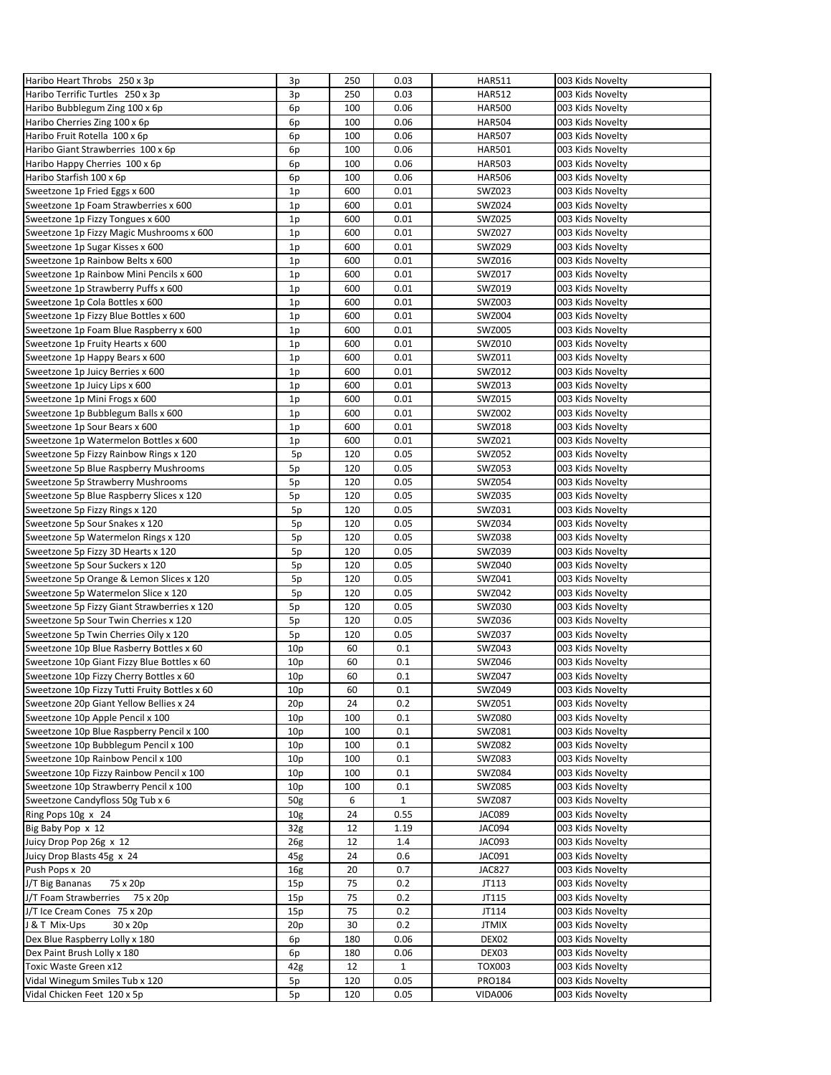| Haribo Heart Throbs 250 x 3p                  | 3p              | 250 | 0.03         | <b>HAR511</b> | 003 Kids Novelty |
|-----------------------------------------------|-----------------|-----|--------------|---------------|------------------|
| Haribo Terrific Turtles 250 x 3p              | 3p              | 250 | 0.03         | <b>HAR512</b> | 003 Kids Novelty |
| Haribo Bubblegum Zing 100 x 6p                | 6p              | 100 | 0.06         | <b>HAR500</b> | 003 Kids Novelty |
| Haribo Cherries Zing 100 x 6p                 | 6p              | 100 | 0.06         | <b>HAR504</b> | 003 Kids Novelty |
| Haribo Fruit Rotella 100 x 6p                 | 6p              | 100 | 0.06         | <b>HAR507</b> | 003 Kids Novelty |
| Haribo Giant Strawberries 100 x 6p            | 6p              | 100 | 0.06         | <b>HAR501</b> | 003 Kids Novelty |
| Haribo Happy Cherries 100 x 6p                | 6p              | 100 | 0.06         | <b>HAR503</b> | 003 Kids Novelty |
| Haribo Starfish 100 x 6p                      | 6p              | 100 | 0.06         | <b>HAR506</b> | 003 Kids Novelty |
| Sweetzone 1p Fried Eggs x 600                 | 1 <sub>p</sub>  | 600 | 0.01         | SWZ023        | 003 Kids Novelty |
| Sweetzone 1p Foam Strawberries x 600          | 1p              | 600 | 0.01         | SWZ024        | 003 Kids Novelty |
| Sweetzone 1p Fizzy Tongues x 600              | 1p              | 600 | 0.01         | SWZ025        | 003 Kids Novelty |
| Sweetzone 1p Fizzy Magic Mushrooms x 600      | 1p              | 600 | 0.01         | SWZ027        | 003 Kids Novelty |
| Sweetzone 1p Sugar Kisses x 600               | 1p              | 600 | 0.01         | SWZ029        | 003 Kids Novelty |
| Sweetzone 1p Rainbow Belts x 600              | 1p              | 600 | 0.01         | SWZ016        | 003 Kids Novelty |
| Sweetzone 1p Rainbow Mini Pencils x 600       | 1p              | 600 | 0.01         | SWZ017        | 003 Kids Novelty |
| Sweetzone 1p Strawberry Puffs x 600           | 1p              | 600 | 0.01         | SWZ019        | 003 Kids Novelty |
| Sweetzone 1p Cola Bottles x 600               | 1p              | 600 | 0.01         | SWZ003        | 003 Kids Novelty |
| Sweetzone 1p Fizzy Blue Bottles x 600         | 1 <sub>p</sub>  | 600 | 0.01         | SWZ004        | 003 Kids Novelty |
| Sweetzone 1p Foam Blue Raspberry x 600        | 1p              | 600 | 0.01         | SWZ005        | 003 Kids Novelty |
| Sweetzone 1p Fruity Hearts x 600              | 1 <sub>p</sub>  | 600 | 0.01         | SWZ010        | 003 Kids Novelty |
| Sweetzone 1p Happy Bears x 600                | 1 <sub>p</sub>  | 600 | 0.01         | SWZ011        | 003 Kids Novelty |
| Sweetzone 1p Juicy Berries x 600              | 1p              | 600 | 0.01         | SWZ012        | 003 Kids Novelty |
|                                               |                 |     | 0.01         |               |                  |
| Sweetzone 1p Juicy Lips x 600                 | 1p              | 600 |              | SWZ013        | 003 Kids Novelty |
| Sweetzone 1p Mini Frogs x 600                 | 1p              | 600 | 0.01         | SWZ015        | 003 Kids Novelty |
| Sweetzone 1p Bubblegum Balls x 600            | 1 <sub>p</sub>  | 600 | 0.01         | SWZ002        | 003 Kids Novelty |
| Sweetzone 1p Sour Bears x 600                 | 1p              | 600 | 0.01         | SWZ018        | 003 Kids Novelty |
| Sweetzone 1p Watermelon Bottles x 600         | 1p              | 600 | 0.01         | SWZ021        | 003 Kids Novelty |
| Sweetzone 5p Fizzy Rainbow Rings x 120        | 5p              | 120 | 0.05         | SWZ052        | 003 Kids Novelty |
| Sweetzone 5p Blue Raspberry Mushrooms         | 5p              | 120 | 0.05         | SWZ053        | 003 Kids Novelty |
| Sweetzone 5p Strawberry Mushrooms             | 5p              | 120 | 0.05         | SWZ054        | 003 Kids Novelty |
| Sweetzone 5p Blue Raspberry Slices x 120      | 5p              | 120 | 0.05         | SWZ035        | 003 Kids Novelty |
| Sweetzone 5p Fizzy Rings x 120                | 5p              | 120 | 0.05         | SWZ031        | 003 Kids Novelty |
| Sweetzone 5p Sour Snakes x 120                | 5p              | 120 | 0.05         | SWZ034        | 003 Kids Novelty |
| Sweetzone 5p Watermelon Rings x 120           | 5p              | 120 | 0.05         | <b>SWZ038</b> | 003 Kids Novelty |
| Sweetzone 5p Fizzy 3D Hearts x 120            | 5p              | 120 | 0.05         | SWZ039        | 003 Kids Novelty |
| Sweetzone 5p Sour Suckers x 120               | 5p              | 120 | 0.05         | SWZ040        | 003 Kids Novelty |
| Sweetzone 5p Orange & Lemon Slices x 120      | 5p              | 120 | 0.05         | SWZ041        | 003 Kids Novelty |
| Sweetzone 5p Watermelon Slice x 120           | 5p              | 120 | 0.05         | SWZ042        | 003 Kids Novelty |
| Sweetzone 5p Fizzy Giant Strawberries x 120   | 5p              | 120 | 0.05         | SWZ030        | 003 Kids Novelty |
| Sweetzone 5p Sour Twin Cherries x 120         | 5p              | 120 | 0.05         | SWZ036        | 003 Kids Novelty |
| Sweetzone 5p Twin Cherries Oily x 120         | 5p              | 120 | 0.05         | SWZ037        | 003 Kids Novelty |
| Sweetzone 10p Blue Rasberry Bottles x 60      | 10 <sub>p</sub> | 60  | 0.1          | SWZ043        | 003 Kids Novelty |
| Sweetzone 10p Giant Fizzy Blue Bottles x 60   | 10 <sub>p</sub> | 60  | 0.1          | SWZ046        | 003 Kids Novelty |
| Sweetzone 10p Fizzy Cherry Bottles x 60       | 10 <sub>p</sub> | 60  | 0.1          | <b>SWZ047</b> | 003 Kids Novelty |
| Sweetzone 10p Fizzy Tutti Fruity Bottles x 60 | 10p             | 60  | 0.1          | SWZ049        | 003 Kids Novelty |
| Sweetzone 20p Giant Yellow Bellies x 24       | 20p             | 24  | 0.2          | SWZ051        | 003 Kids Novelty |
| Sweetzone 10p Apple Pencil x 100              | 10 <sub>p</sub> | 100 | 0.1          | <b>SWZ080</b> | 003 Kids Novelty |
| Sweetzone 10p Blue Raspberry Pencil x 100     | 10 <sub>p</sub> | 100 | 0.1          | SWZ081        | 003 Kids Novelty |
| Sweetzone 10p Bubblegum Pencil x 100          | 10p             | 100 | 0.1          | SWZ082        | 003 Kids Novelty |
| Sweetzone 10p Rainbow Pencil x 100            | 10p             | 100 | 0.1          | SWZ083        | 003 Kids Novelty |
| Sweetzone 10p Fizzy Rainbow Pencil x 100      | 10p             | 100 | 0.1          | SWZ084        | 003 Kids Novelty |
|                                               |                 |     |              |               |                  |
| Sweetzone 10p Strawberry Pencil x 100         | 10 <sub>p</sub> | 100 | 0.1          | SWZ085        | 003 Kids Novelty |
| Sweetzone Candyfloss 50g Tub x 6              | 50g             | 6   | $\mathbf{1}$ | <b>SWZ087</b> | 003 Kids Novelty |
| Ring Pops 10g x 24                            | 10 <sub>g</sub> | 24  | 0.55         | JAC089        | 003 Kids Novelty |
| Big Baby Pop x 12                             | 32 <sub>g</sub> | 12  | 1.19         | JAC094        | 003 Kids Novelty |
| Juicy Drop Pop 26g x 12                       | 26 <sub>g</sub> | 12  | 1.4          | JAC093        | 003 Kids Novelty |
| Juicy Drop Blasts 45g x 24                    | 45g             | 24  | 0.6          | JAC091        | 003 Kids Novelty |
| Push Pops x 20                                | 16 <sub>g</sub> | 20  | 0.7          | <b>JAC827</b> | 003 Kids Novelty |
| 75 x 20p<br>J/T Big Bananas                   | 15p             | 75  | 0.2          | JT113         | 003 Kids Novelty |
| J/T Foam Strawberries<br>75 x 20p             | 15p             | 75  | 0.2          | JT115         | 003 Kids Novelty |
| J/T Ice Cream Cones 75 x 20p                  | 15p             | 75  | 0.2          | JT114         | 003 Kids Novelty |
| J & T Mix-Ups<br>30 x 20p                     | 20p             | 30  | 0.2          | <b>JTMIX</b>  | 003 Kids Novelty |
| Dex Blue Raspberry Lolly x 180                | 6p              | 180 | 0.06         | DEX02         | 003 Kids Novelty |
| Dex Paint Brush Lolly x 180                   | 6p              | 180 | 0.06         | DEX03         | 003 Kids Novelty |
| Toxic Waste Green x12                         | 42g             | 12  | $\mathbf{1}$ | TOX003        | 003 Kids Novelty |
| Vidal Winegum Smiles Tub x 120                | 5p              | 120 | 0.05         | PRO184        | 003 Kids Novelty |
| Vidal Chicken Feet 120 x 5p                   | 5p              | 120 | 0.05         | VIDA006       | 003 Kids Novelty |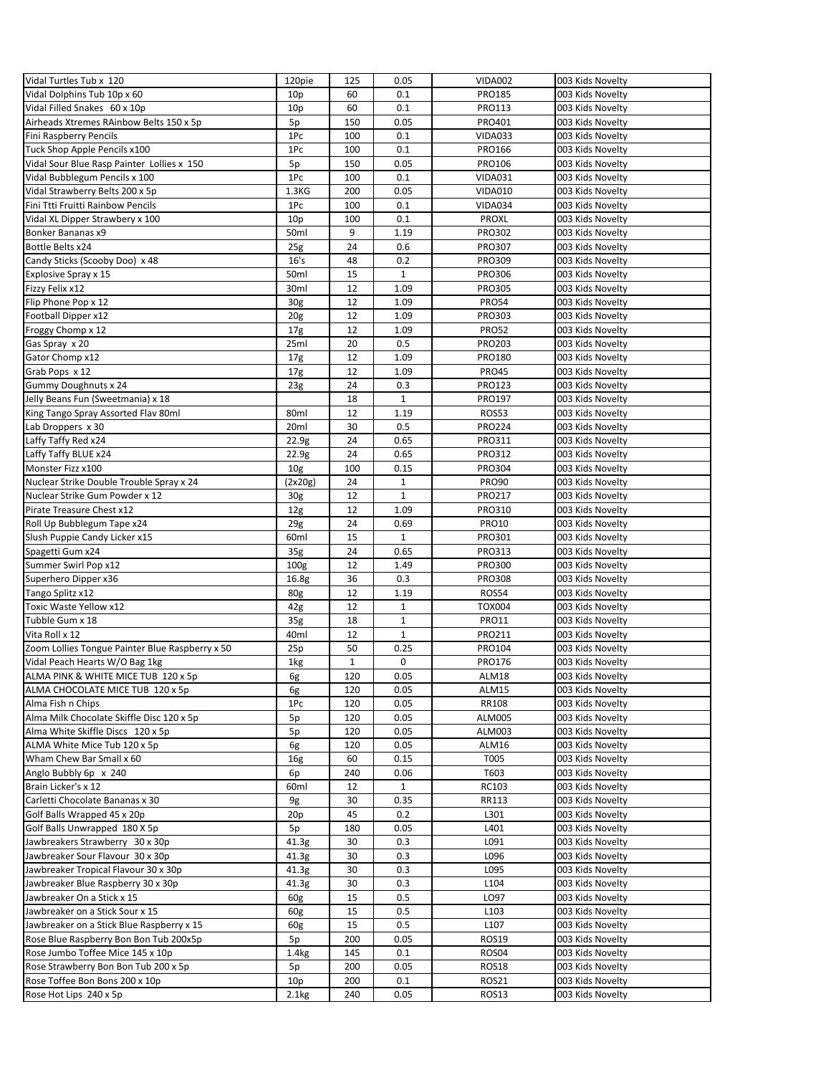| Vidal Turtles Tub x 120                         | 120pie            | 125          | 0.05         | <b>VIDA002</b>   | 003 Kids Novelty |
|-------------------------------------------------|-------------------|--------------|--------------|------------------|------------------|
| Vidal Dolphins Tub 10p x 60                     | 10 <sub>p</sub>   | 60           | 0.1          | <b>PRO185</b>    | 003 Kids Novelty |
| Vidal Filled Snakes 60 x 10p                    | 10 <sub>p</sub>   | 60           | 0.1          | PRO113           | 003 Kids Novelty |
| Airheads Xtremes RAinbow Belts 150 x 5p         | 5p                | 150          | 0.05         | PRO401           | 003 Kids Novelty |
| Fini Raspberry Pencils                          | 1Pc               | 100          | 0.1          | <b>VIDA033</b>   | 003 Kids Novelty |
| Tuck Shop Apple Pencils x100                    | 1Pc               | 100          | 0.1          | PRO166           | 003 Kids Novelty |
| Vidal Sour Blue Rasp Painter Lollies x 150      | 5p                | 150          | 0.05         | PRO106           | 003 Kids Novelty |
|                                                 |                   |              |              |                  |                  |
| Vidal Bubblegum Pencils x 100                   | 1Pc               | 100          | 0.1          | <b>VIDA031</b>   | 003 Kids Novelty |
| Vidal Strawberry Belts 200 x 5p                 | 1.3 <sub>K</sub>  | 200          | 0.05         | <b>VIDA010</b>   | 003 Kids Novelty |
| Fini Ttti Fruitti Rainbow Pencils               | 1Pc               | 100          | 0.1          | VIDA034          | 003 Kids Novelty |
| Vidal XL Dipper Strawbery x 100                 | 10 <sub>p</sub>   | 100          | 0.1          | <b>PROXL</b>     | 003 Kids Novelty |
| Bonker Bananas x9                               | 50ml              | 9            | 1.19         | PRO302           | 003 Kids Novelty |
| Bottle Belts x24                                | 25g               | 24           | 0.6          | <b>PRO307</b>    | 003 Kids Novelty |
| Candy Sticks (Scooby Doo) x 48                  | 16's              | 48           | 0.2          | <b>PRO309</b>    | 003 Kids Novelty |
| Explosive Spray x 15                            | 50ml              | 15           | $\mathbf{1}$ | <b>PRO306</b>    | 003 Kids Novelty |
| Fizzy Felix x12                                 | 30ml              | 12           | 1.09         | <b>PRO305</b>    | 003 Kids Novelty |
| Flip Phone Pop x 12                             | 30 <sub>g</sub>   | 12           | 1.09         | <b>PRO54</b>     | 003 Kids Novelty |
| Football Dipper x12                             | 20 <sub>g</sub>   | 12           | 1.09         | PRO303           | 003 Kids Novelty |
| Froggy Chomp x 12                               | 17 <sub>g</sub>   | 12           | 1.09         | <b>PRO52</b>     | 003 Kids Novelty |
| Gas Spray x 20                                  | 25ml              | 20           | 0.5          | PRO203           | 003 Kids Novelty |
| Gator Chomp x12                                 | 17 <sub>g</sub>   | 12           | 1.09         | PRO180           | 003 Kids Novelty |
| Grab Pops x 12                                  | 17 <sub>g</sub>   | 12           | 1.09         | <b>PRO45</b>     | 003 Kids Novelty |
| Gummy Doughnuts x 24                            | 23 <sub>g</sub>   | 24           | 0.3          | PRO123           | 003 Kids Novelty |
| Jelly Beans Fun (Sweetmania) x 18               |                   | 18           | $\mathbf 1$  | PRO197           | 003 Kids Novelty |
| King Tango Spray Assorted Flav 80ml             | 80ml              | 12           | 1.19         | <b>ROS53</b>     | 003 Kids Novelty |
| Lab Droppers x 30                               | 20ml              | 30           | 0.5          | PRO224           |                  |
|                                                 |                   |              |              |                  | 003 Kids Novelty |
| Laffy Taffy Red x24                             | 22.9g             | 24           | 0.65         | PRO311           | 003 Kids Novelty |
| Laffy Taffy BLUE x24                            | 22.9g             | 24           | 0.65         | PRO312           | 003 Kids Novelty |
| Monster Fizz x100                               | 10 <sub>g</sub>   | 100          | 0.15         | <b>PRO304</b>    | 003 Kids Novelty |
| Nuclear Strike Double Trouble Spray x 24        | (2x20g)           | 24           | $\mathbf{1}$ | <b>PRO90</b>     | 003 Kids Novelty |
| Nuclear Strike Gum Powder x 12                  | 30 <sub>g</sub>   | 12           | $\mathbf{1}$ | PRO217           | 003 Kids Novelty |
| Pirate Treasure Chest x12                       | 12 <sub>g</sub>   | 12           | 1.09         | PRO310           | 003 Kids Novelty |
| Roll Up Bubblegum Tape x24                      | 29g               | 24           | 0.69         | <b>PRO10</b>     | 003 Kids Novelty |
| Slush Puppie Candy Licker x15                   | 60ml              | 15           | $\mathbf{1}$ | PRO301           | 003 Kids Novelty |
| Spagetti Gum x24                                | 35g               | 24           | 0.65         | PRO313           | 003 Kids Novelty |
| Summer Swirl Pop x12                            | 100 <sub>g</sub>  | 12           | 1.49         | PRO300           | 003 Kids Novelty |
| Superhero Dipper x36                            | 16.8 <sub>g</sub> | 36           | 0.3          | <b>PRO308</b>    | 003 Kids Novelty |
| Tango Splitz x12                                | 80 <sub>g</sub>   | 12           | 1.19         | <b>ROS54</b>     | 003 Kids Novelty |
| Toxic Waste Yellow x12                          | 42g               | 12           | $\mathbf{1}$ | <b>TOX004</b>    | 003 Kids Novelty |
| Tubble Gum x 18                                 | 35 <sub>g</sub>   | 18           | $\mathbf{1}$ | <b>PRO11</b>     | 003 Kids Novelty |
| Vita Roll x 12                                  | 40ml              | 12           | $\mathbf{1}$ | PRO211           | 003 Kids Novelty |
| Zoom Lollies Tongue Painter Blue Raspberry x 50 | 25p               | 50           | 0.25         | PRO104           | 003 Kids Novelty |
| Vidal Peach Hearts W/O Bag 1kg                  | 1kg               | $\mathbf{1}$ | 0            | PRO176           | 003 Kids Novelty |
| ALMA PINK & WHITE MICE TUB 120 x 5p             | 6g                | 120          | 0.05         | ALM18            | 003 Kids Novelty |
| ALMA CHOCOLATE MICE TUB 120 x 5p                | 6g                | 120          | 0.05         | ALM15            | 003 Kids Novelty |
| Alma Fish n Chips                               | 1Pc               | 120          | 0.05         | RR108            | 003 Kids Novelty |
| Alma Milk Chocolate Skiffle Disc 120 x 5p       |                   |              |              |                  | 003 Kids Novelty |
|                                                 | 5p                | 120          | 0.05         | <b>ALM005</b>    |                  |
| Alma White Skiffle Discs 120 x 5p               | 5p                | 120          | 0.05         | ALM003           | 003 Kids Novelty |
| ALMA White Mice Tub 120 x 5p                    | 6g                | 120          | 0.05         | ALM16            | 003 Kids Novelty |
| Wham Chew Bar Small x 60                        | 16g               | 60           | 0.15         | T005             | 003 Kids Novelty |
| Anglo Bubbly 6p x 240                           | 6p                | 240          | 0.06         | T603             | 003 Kids Novelty |
| Brain Licker's x 12                             | 60ml              | 12           | $\mathbf{1}$ | RC103            | 003 Kids Novelty |
| Carletti Chocolate Bananas x 30                 | 9g                | 30           | 0.35         | RR113            | 003 Kids Novelty |
| Golf Balls Wrapped 45 x 20p                     | 20p               | 45           | 0.2          | L301             | 003 Kids Novelty |
| Golf Balls Unwrapped 180 X 5p                   | 5p                | 180          | 0.05         | L401             | 003 Kids Novelty |
| Jawbreakers Strawberry 30 x 30p                 | 41.3g             | 30           | 0.3          | L091             | 003 Kids Novelty |
| Jawbreaker Sour Flavour 30 x 30p                | 41.3g             | 30           | 0.3          | L096             | 003 Kids Novelty |
| Jawbreaker Tropical Flavour 30 x 30p            | 41.3g             | 30           | 0.3          | L095             | 003 Kids Novelty |
| Jawbreaker Blue Raspberry 30 x 30p              | 41.3g             | 30           | 0.3          | L104             | 003 Kids Novelty |
| Jawbreaker On a Stick x 15                      | 60g               | 15           | 0.5          | LO97             | 003 Kids Novelty |
| Jawbreaker on a Stick Sour x 15                 | 60g               | 15           | 0.5          | L <sub>103</sub> | 003 Kids Novelty |
| Jawbreaker on a Stick Blue Raspberry x 15       | 60g               | 15           | 0.5          | L <sub>107</sub> | 003 Kids Novelty |
| Rose Blue Raspberry Bon Bon Tub 200x5p          | 5p                | 200          | 0.05         | <b>ROS19</b>     | 003 Kids Novelty |
| Rose Jumbo Toffee Mice 145 x 10p                | 1.4 <sub>kg</sub> | 145          | 0.1          | ROS04            | 003 Kids Novelty |
| Rose Strawberry Bon Bon Tub 200 x 5p            | 5p                | 200          | 0.05         | <b>ROS18</b>     | 003 Kids Novelty |
| Rose Toffee Bon Bons 200 x 10p                  | 10 <sub>p</sub>   | 200          | 0.1          | <b>ROS21</b>     | 003 Kids Novelty |
|                                                 |                   |              |              |                  |                  |
| Rose Hot Lips 240 x 5p                          | 2.1kg             | 240          | 0.05         | ROS13            | 003 Kids Novelty |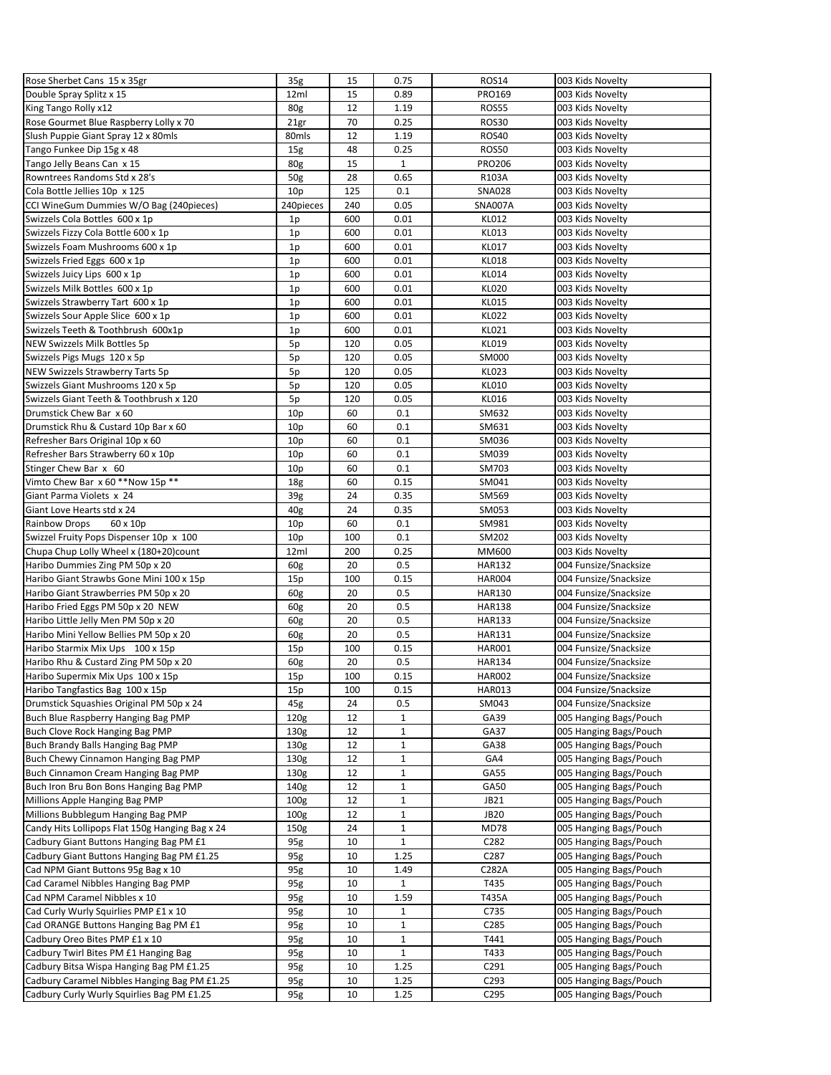| Rose Sherbet Cans 15 x 35gr                     | 35 <sub>g</sub>  | 15           | 0.75         | <b>ROS14</b>  | 003 Kids Novelty                                 |
|-------------------------------------------------|------------------|--------------|--------------|---------------|--------------------------------------------------|
| Double Spray Splitz x 15                        | 12ml             | 15           | 0.89         | PRO169        | 003 Kids Novelty                                 |
| King Tango Rolly x12                            | 80 <sub>g</sub>  | 12           | 1.19         | <b>ROS55</b>  | 003 Kids Novelty                                 |
| Rose Gourmet Blue Raspberry Lolly x 70          | 21gr             | 70           | 0.25         | <b>ROS30</b>  | 003 Kids Novelty                                 |
| Slush Puppie Giant Spray 12 x 80mls             | 80mls            | 12           | 1.19         | <b>ROS40</b>  | 003 Kids Novelty                                 |
| Tango Funkee Dip 15g x 48                       | 15 <sub>g</sub>  | 48           | 0.25         | <b>ROS50</b>  | 003 Kids Novelty                                 |
| Tango Jelly Beans Can x 15                      | 80g              | 15           | $\mathbf{1}$ | <b>PRO206</b> | 003 Kids Novelty                                 |
| Rowntrees Randoms Std x 28's                    | 50 <sub>g</sub>  | 28           | 0.65         | R103A         | 003 Kids Novelty                                 |
| Cola Bottle Jellies 10p x 125                   | 10p              | 125          | 0.1          | <b>SNA028</b> | 003 Kids Novelty                                 |
| CCI WineGum Dummies W/O Bag (240pieces)         | 240pieces        | 240          | 0.05         | SNA007A       | 003 Kids Novelty                                 |
| Swizzels Cola Bottles 600 x 1p                  | 1p               | 600          | 0.01         | KL012         | 003 Kids Novelty                                 |
| Swizzels Fizzy Cola Bottle 600 x 1p             | 1 <sub>p</sub>   | 600          | 0.01         | KL013         | 003 Kids Novelty                                 |
| Swizzels Foam Mushrooms 600 x 1p                | 1p               | 600          | 0.01         | <b>KL017</b>  | 003 Kids Novelty                                 |
| Swizzels Fried Eggs 600 x 1p                    | 1p               | 600          | 0.01         | <b>KL018</b>  | 003 Kids Novelty                                 |
| Swizzels Juicy Lips 600 x 1p                    | 1p               | 600          | 0.01         | <b>KL014</b>  | 003 Kids Novelty                                 |
| Swizzels Milk Bottles 600 x 1p                  | 1p               | 600          | 0.01         | <b>KL020</b>  | 003 Kids Novelty                                 |
| Swizzels Strawberry Tart 600 x 1p               | 1 <sub>p</sub>   | 600          | 0.01         | <b>KL015</b>  | 003 Kids Novelty                                 |
| Swizzels Sour Apple Slice 600 x 1p              | 1 <sub>p</sub>   | 600          | 0.01         | <b>KL022</b>  | 003 Kids Novelty                                 |
| Swizzels Teeth & Toothbrush 600x1p              | 1p               | 600          | 0.01         | KL021         | 003 Kids Novelty                                 |
| NEW Swizzels Milk Bottles 5p                    | 5p               | 120          | 0.05         | KL019         | 003 Kids Novelty                                 |
| Swizzels Pigs Mugs 120 x 5p                     | 5p               | 120          | 0.05         | SM000         | 003 Kids Novelty                                 |
| NEW Swizzels Strawberry Tarts 5p                | 5p               | 120          | 0.05         | <b>KL023</b>  | 003 Kids Novelty                                 |
| Swizzels Giant Mushrooms 120 x 5p               | 5p               | 120          | 0.05         | KL010         | 003 Kids Novelty                                 |
| Swizzels Giant Teeth & Toothbrush x 120         | 5p               | 120          | 0.05         | KL016         | 003 Kids Novelty                                 |
| Drumstick Chew Bar x 60                         | 10p              | 60           | 0.1          | SM632         | 003 Kids Novelty                                 |
| Drumstick Rhu & Custard 10p Bar x 60            | 10 <sub>p</sub>  | 60           | 0.1          | SM631         | 003 Kids Novelty                                 |
| Refresher Bars Original 10p x 60                | 10p              | 60           | 0.1          | SM036         | 003 Kids Novelty                                 |
| Refresher Bars Strawberry 60 x 10p              | 10p              | 60           | 0.1          | SM039         | 003 Kids Novelty                                 |
| Stinger Chew Bar x 60                           | 10 <sub>p</sub>  | 60           | 0.1          | SM703         | 003 Kids Novelty                                 |
| Vimto Chew Bar x 60 ** Now 15p **               | 18g              | 60           | 0.15         | SM041         | 003 Kids Novelty                                 |
| Giant Parma Violets x 24                        | 39 <sub>g</sub>  | 24           | 0.35         | SM569         | 003 Kids Novelty                                 |
| Giant Love Hearts std x 24                      | 40 <sub>g</sub>  | 24           | 0.35         | SM053         | 003 Kids Novelty                                 |
| Rainbow Drops<br>60 x 10p                       | 10 <sub>p</sub>  | 60           | 0.1          | SM981         | 003 Kids Novelty                                 |
| Swizzel Fruity Pops Dispenser 10p x 100         | 10p              | 100          | 0.1          | SM202         | 003 Kids Novelty                                 |
| Chupa Chup Lolly Wheel x (180+20)count          | 12ml             | 200          | 0.25         | MM600         | 003 Kids Novelty                                 |
| Haribo Dummies Zing PM 50p x 20                 | 60g              | 20           | 0.5          | <b>HAR132</b> | 004 Funsize/Snacksize                            |
| Haribo Giant Strawbs Gone Mini 100 x 15p        | 15p              | 100          | 0.15         | <b>HAR004</b> | 004 Funsize/Snacksize                            |
| Haribo Giant Strawberries PM 50p x 20           | 60g              | 20           | 0.5          | <b>HAR130</b> | 004 Funsize/Snacksize                            |
| Haribo Fried Eggs PM 50p x 20 NEW               | 60g              | 20           | 0.5          | <b>HAR138</b> | 004 Funsize/Snacksize                            |
| Haribo Little Jelly Men PM 50p x 20             | 60g              | 20           | 0.5          | <b>HAR133</b> | 004 Funsize/Snacksize                            |
| Haribo Mini Yellow Bellies PM 50p x 20          | 60g              | 20           | 0.5          | <b>HAR131</b> | 004 Funsize/Snacksize                            |
| Haribo Starmix Mix Ups 100 x 15p                | 15p              | 100          | 0.15         | <b>HAR001</b> | 004 Funsize/Snacksize                            |
| Haribo Rhu & Custard Zing PM 50p x 20           | 60g              | 20           | 0.5          | <b>HAR134</b> | 004 Funsize/Snacksize                            |
| Haribo Supermix Mix Ups 100 x 15p               | 15p              | 100          | 0.15         | <b>HAR002</b> | 004 Funsize/Snacksize                            |
| Haribo Tangfastics Bag 100 x 15p                | 15p              | 100          | 0.15         | <b>HAR013</b> | 004 Funsize/Snacksize                            |
| Drumstick Squashies Original PM 50p x 24        | 45g              | 24           | 0.5          | SM043         | 004 Funsize/Snacksize                            |
| Buch Blue Raspberry Hanging Bag PMP             | 120 <sub>g</sub> | 12           | $\mathbf{1}$ | GA39          | 005 Hanging Bags/Pouch                           |
| Buch Clove Rock Hanging Bag PMP                 | 130 <sub>g</sub> | 12           | $\mathbf 1$  | GA37          | 005 Hanging Bags/Pouch                           |
| Buch Brandy Balls Hanging Bag PMP               | 130 <sub>g</sub> | 12           | $\mathbf 1$  | GA38          | 005 Hanging Bags/Pouch                           |
| <b>Buch Chewy Cinnamon Hanging Bag PMP</b>      | 130g             | 12           | 1            | GA4           | 005 Hanging Bags/Pouch                           |
| Buch Cinnamon Cream Hanging Bag PMP             | 130 <sub>g</sub> | 12           | 1            | GA55          | 005 Hanging Bags/Pouch                           |
| Buch Iron Bru Bon Bons Hanging Bag PMP          | 140g             | 12           | $\mathbf 1$  | GA50          | 005 Hanging Bags/Pouch                           |
| Millions Apple Hanging Bag PMP                  | 100 <sub>g</sub> | 12           | $\mathbf 1$  | <b>JB21</b>   | 005 Hanging Bags/Pouch                           |
| Millions Bubblegum Hanging Bag PMP              | 100 <sub>g</sub> | 12           | $\mathbf 1$  | <b>JB20</b>   | 005 Hanging Bags/Pouch                           |
| Candy Hits Lollipops Flat 150g Hanging Bag x 24 | 150 <sub>g</sub> | 24           | $\mathbf 1$  | <b>MD78</b>   | 005 Hanging Bags/Pouch                           |
| Cadbury Giant Buttons Hanging Bag PM £1         |                  |              | $\mathbf{1}$ | C282          |                                                  |
| Cadbury Giant Buttons Hanging Bag PM £1.25      | 95g              | 10<br>$10\,$ | 1.25         | C287          | 005 Hanging Bags/Pouch<br>005 Hanging Bags/Pouch |
| Cad NPM Giant Buttons 95g Bag x 10              | 95g              | 10           | 1.49         | C282A         | 005 Hanging Bags/Pouch                           |
|                                                 | 95g              |              |              |               |                                                  |
| Cad Caramel Nibbles Hanging Bag PMP             | 95g              | 10           | $\mathbf{1}$ | T435          | 005 Hanging Bags/Pouch                           |
| Cad NPM Caramel Nibbles x 10                    | 95g              | 10           | 1.59         | T435A         | 005 Hanging Bags/Pouch                           |
| Cad Curly Wurly Squirlies PMP £1 x 10           | 95g              | 10           | $\mathbf{1}$ | C735          | 005 Hanging Bags/Pouch                           |
| Cad ORANGE Buttons Hanging Bag PM £1            | 95g              | 10           | $\mathbf 1$  | C285          | 005 Hanging Bags/Pouch                           |
| Cadbury Oreo Bites PMP £1 x 10                  | 95g              | 10           | $\mathbf 1$  | T441          | 005 Hanging Bags/Pouch                           |
| Cadbury Twirl Bites PM £1 Hanging Bag           | 95g              | 10           | $\mathbf{1}$ | T433          | 005 Hanging Bags/Pouch                           |
| Cadbury Bitsa Wispa Hanging Bag PM £1.25        | 95g              | 10           | 1.25         | C291          | 005 Hanging Bags/Pouch                           |
| Cadbury Caramel Nibbles Hanging Bag PM £1.25    | 95g              | 10           | 1.25         | C293          | 005 Hanging Bags/Pouch                           |
| Cadbury Curly Wurly Squirlies Bag PM £1.25      | 95g              | 10           | 1.25         | C295          | 005 Hanging Bags/Pouch                           |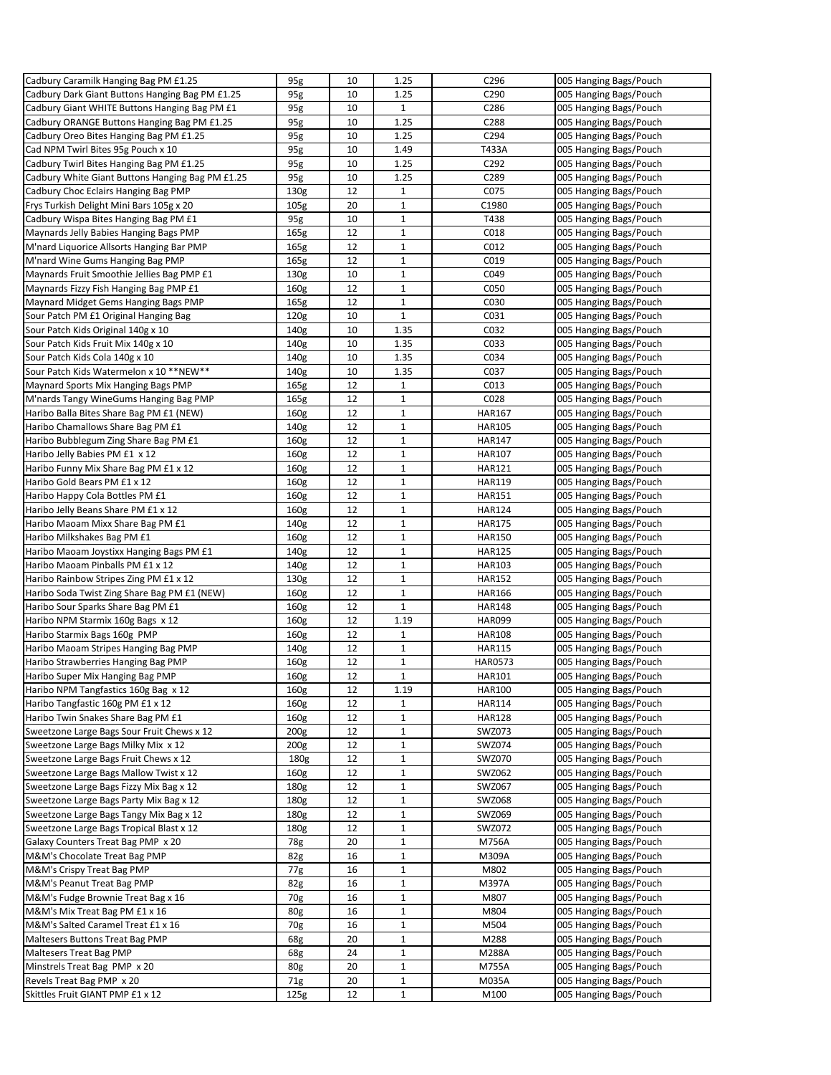| Cadbury Caramilk Hanging Bag PM £1.25            | 95g              | 10 | 1.25         | C296           | 005 Hanging Bags/Pouch |
|--------------------------------------------------|------------------|----|--------------|----------------|------------------------|
| Cadbury Dark Giant Buttons Hanging Bag PM £1.25  | 95g              | 10 | 1.25         | C290           | 005 Hanging Bags/Pouch |
| Cadbury Giant WHITE Buttons Hanging Bag PM £1    | 95g              | 10 | $\mathbf{1}$ | C286           | 005 Hanging Bags/Pouch |
| Cadbury ORANGE Buttons Hanging Bag PM £1.25      | 95g              | 10 | 1.25         | C288           | 005 Hanging Bags/Pouch |
| Cadbury Oreo Bites Hanging Bag PM £1.25          | 95g              | 10 | 1.25         | C294           | 005 Hanging Bags/Pouch |
| Cad NPM Twirl Bites 95g Pouch x 10               | 95g              | 10 | 1.49         | T433A          | 005 Hanging Bags/Pouch |
| Cadbury Twirl Bites Hanging Bag PM £1.25         | 95g              | 10 | 1.25         | C292           | 005 Hanging Bags/Pouch |
| Cadbury White Giant Buttons Hanging Bag PM £1.25 | 95g              | 10 | 1.25         | C289           | 005 Hanging Bags/Pouch |
| Cadbury Choc Eclairs Hanging Bag PMP             | 130g             | 12 | $\mathbf{1}$ | C075           | 005 Hanging Bags/Pouch |
| Frys Turkish Delight Mini Bars 105g x 20         | 105 <sub>g</sub> | 20 | $\mathbf{1}$ | C1980          | 005 Hanging Bags/Pouch |
| Cadbury Wispa Bites Hanging Bag PM £1            | 95g              | 10 | $\mathbf 1$  | T438           | 005 Hanging Bags/Pouch |
| Maynards Jelly Babies Hanging Bags PMP           | 165g             | 12 | $1\,$        | C018           | 005 Hanging Bags/Pouch |
| M'nard Liquorice Allsorts Hanging Bar PMP        | 165g             | 12 | $\mathbf 1$  | C012           | 005 Hanging Bags/Pouch |
| M'nard Wine Gums Hanging Bag PMP                 | 165 <sub>g</sub> | 12 | $\mathbf{1}$ | C019           | 005 Hanging Bags/Pouch |
| Maynards Fruit Smoothie Jellies Bag PMP £1       | 130g             | 10 | $\mathbf 1$  | C049           | 005 Hanging Bags/Pouch |
| Maynards Fizzy Fish Hanging Bag PMP £1           | 160 <sub>g</sub> | 12 | $1\,$        | C050           | 005 Hanging Bags/Pouch |
| Maynard Midget Gems Hanging Bags PMP             | 165 <sub>g</sub> | 12 | $\mathbf 1$  | C030           | 005 Hanging Bags/Pouch |
| Sour Patch PM £1 Original Hanging Bag            | 120 <sub>g</sub> | 10 | $\mathbf 1$  | C031           | 005 Hanging Bags/Pouch |
| Sour Patch Kids Original 140g x 10               | 140g             | 10 | 1.35         | C032           | 005 Hanging Bags/Pouch |
| Sour Patch Kids Fruit Mix 140g x 10              | 140g             | 10 | 1.35         | C033           | 005 Hanging Bags/Pouch |
| Sour Patch Kids Cola 140g x 10                   | 140g             | 10 | 1.35         | C034           | 005 Hanging Bags/Pouch |
| Sour Patch Kids Watermelon x 10 ** NEW**         | 140g             | 10 | 1.35         | C037           | 005 Hanging Bags/Pouch |
| Maynard Sports Mix Hanging Bags PMP              | 165g             | 12 | $\mathbf{1}$ | C013           | 005 Hanging Bags/Pouch |
| M'nards Tangy WineGums Hanging Bag PMP           | 165 <sub>g</sub> | 12 | $\mathbf{1}$ | C028           | 005 Hanging Bags/Pouch |
| Haribo Balla Bites Share Bag PM £1 (NEW)         | 160 <sub>g</sub> | 12 | $\mathbf 1$  | <b>HAR167</b>  | 005 Hanging Bags/Pouch |
| Haribo Chamallows Share Bag PM £1                | 140g             | 12 | $\mathbf 1$  | <b>HAR105</b>  | 005 Hanging Bags/Pouch |
| Haribo Bubblegum Zing Share Bag PM £1            | 160 <sub>g</sub> | 12 | $\mathbf 1$  | <b>HAR147</b>  | 005 Hanging Bags/Pouch |
| Haribo Jelly Babies PM £1 x 12                   | 160g             | 12 | $\mathbf 1$  | HAR107         | 005 Hanging Bags/Pouch |
| Haribo Funny Mix Share Bag PM £1 x 12            | 160 <sub>g</sub> | 12 | $\mathbf{1}$ | <b>HAR121</b>  | 005 Hanging Bags/Pouch |
| Haribo Gold Bears PM £1 x 12                     | 160 <sub>g</sub> | 12 | 1            | <b>HAR119</b>  | 005 Hanging Bags/Pouch |
| Haribo Happy Cola Bottles PM £1                  | 160 <sub>g</sub> | 12 | $\mathbf 1$  | <b>HAR151</b>  | 005 Hanging Bags/Pouch |
| Haribo Jelly Beans Share PM £1 x 12              | 160 <sub>g</sub> | 12 | $1\,$        | <b>HAR124</b>  | 005 Hanging Bags/Pouch |
| Haribo Maoam Mixx Share Bag PM £1                | 140g             | 12 | $\mathbf 1$  | <b>HAR175</b>  | 005 Hanging Bags/Pouch |
| Haribo Milkshakes Bag PM £1                      | 160 <sub>g</sub> | 12 | $\mathbf{1}$ | <b>HAR150</b>  | 005 Hanging Bags/Pouch |
| Haribo Maoam Joystixx Hanging Bags PM £1         | 140g             | 12 | $\mathbf 1$  | <b>HAR125</b>  | 005 Hanging Bags/Pouch |
| Haribo Maoam Pinballs PM £1 x 12                 | 140g             | 12 | $\mathbf 1$  | <b>HAR103</b>  | 005 Hanging Bags/Pouch |
| Haribo Rainbow Stripes Zing PM £1 x 12           | 130 <sub>g</sub> | 12 | $\mathbf 1$  | <b>HAR152</b>  | 005 Hanging Bags/Pouch |
| Haribo Soda Twist Zing Share Bag PM £1 (NEW)     | 160g             | 12 | $\mathbf 1$  | <b>HAR166</b>  | 005 Hanging Bags/Pouch |
| Haribo Sour Sparks Share Bag PM £1               | 160 <sub>g</sub> | 12 | $\mathbf{1}$ | <b>HAR148</b>  | 005 Hanging Bags/Pouch |
| Haribo NPM Starmix 160g Bags x 12                | 160 <sub>g</sub> | 12 | 1.19         | <b>HAR099</b>  | 005 Hanging Bags/Pouch |
| Haribo Starmix Bags 160g PMP                     | 160 <sub>g</sub> | 12 | $\mathbf{1}$ | <b>HAR108</b>  | 005 Hanging Bags/Pouch |
| Haribo Maoam Stripes Hanging Bag PMP             | 140g             | 12 | $1\,$        | <b>HAR115</b>  | 005 Hanging Bags/Pouch |
| Haribo Strawberries Hanging Bag PMP              | 160g             | 12 | $\mathbf 1$  | <b>HAR0573</b> | 005 Hanging Bags/Pouch |
| Haribo Super Mix Hanging Bag PMP                 | 160 <sub>g</sub> | 12 | $\mathbf 1$  | <b>HAR101</b>  | 005 Hanging Bags/Pouch |
| Haribo NPM Tangfastics 160g Bag x 12             | 160 <sub>g</sub> | 12 | 1.19         | <b>HAR100</b>  | 005 Hanging Bags/Pouch |
| Haribo Tangfastic 160g PM £1 x 12                | 160g             | 12 | $\mathbf{1}$ | <b>HAR114</b>  | 005 Hanging Bags/Pouch |
| Haribo Twin Snakes Share Bag PM £1               | 160g             | 12 | $\mathbf{1}$ | <b>HAR128</b>  | 005 Hanging Bags/Pouch |
| Sweetzone Large Bags Sour Fruit Chews x 12       | 200g             | 12 | $\mathbf 1$  | SWZ073         | 005 Hanging Bags/Pouch |
| Sweetzone Large Bags Milky Mix x 12              | 200 <sub>g</sub> | 12 | $\mathbf{1}$ | SWZ074         | 005 Hanging Bags/Pouch |
| Sweetzone Large Bags Fruit Chews x 12            | 180g             | 12 | $\mathbf{1}$ | SWZ070         | 005 Hanging Bags/Pouch |
| Sweetzone Large Bags Mallow Twist x 12           | 160g             | 12 | $\mathbf 1$  | SWZ062         | 005 Hanging Bags/Pouch |
| Sweetzone Large Bags Fizzy Mix Bag x 12          | 180g             | 12 | $\mathbf 1$  | SWZ067         | 005 Hanging Bags/Pouch |
| Sweetzone Large Bags Party Mix Bag x 12          | 180g             | 12 | $\mathbf{1}$ | <b>SWZ068</b>  | 005 Hanging Bags/Pouch |
| Sweetzone Large Bags Tangy Mix Bag x 12          | 180g             | 12 | $\mathbf 1$  | SWZ069         | 005 Hanging Bags/Pouch |
| Sweetzone Large Bags Tropical Blast x 12         | 180g             | 12 | $\mathbf 1$  | SWZ072         | 005 Hanging Bags/Pouch |
| Galaxy Counters Treat Bag PMP x 20               | 78g              | 20 | $\mathbf 1$  | M756A          | 005 Hanging Bags/Pouch |
| M&M's Chocolate Treat Bag PMP                    | 82g              | 16 | $\mathbf{1}$ | M309A          | 005 Hanging Bags/Pouch |
| M&M's Crispy Treat Bag PMP                       | 77g              | 16 | $\mathbf 1$  | M802           | 005 Hanging Bags/Pouch |
| M&M's Peanut Treat Bag PMP                       | 82g              | 16 | $1\,$        | M397A          | 005 Hanging Bags/Pouch |
| M&M's Fudge Brownie Treat Bag x 16               | 70g              | 16 | $\mathbf{1}$ | M807           | 005 Hanging Bags/Pouch |
| M&M's Mix Treat Bag PM £1 x 16                   | 80g              | 16 | $\mathbf 1$  | M804           | 005 Hanging Bags/Pouch |
| M&M's Salted Caramel Treat £1 x 16               | 70g              | 16 | $\mathbf 1$  | M504           | 005 Hanging Bags/Pouch |
| Maltesers Buttons Treat Bag PMP                  | 68g              | 20 | $\mathbf{1}$ | M288           | 005 Hanging Bags/Pouch |
| Maltesers Treat Bag PMP                          | 68g              | 24 | $\mathbf 1$  | M288A          | 005 Hanging Bags/Pouch |
| Minstrels Treat Bag PMP x 20                     | 80g              | 20 | $\mathbf 1$  | M755A          | 005 Hanging Bags/Pouch |
| Revels Treat Bag PMP x 20                        | 71g              | 20 | $\mathbf{1}$ | M035A          | 005 Hanging Bags/Pouch |
| Skittles Fruit GIANT PMP £1 x 12                 | 125g             | 12 | $\mathbf{1}$ | M100           | 005 Hanging Bags/Pouch |
|                                                  |                  |    |              |                |                        |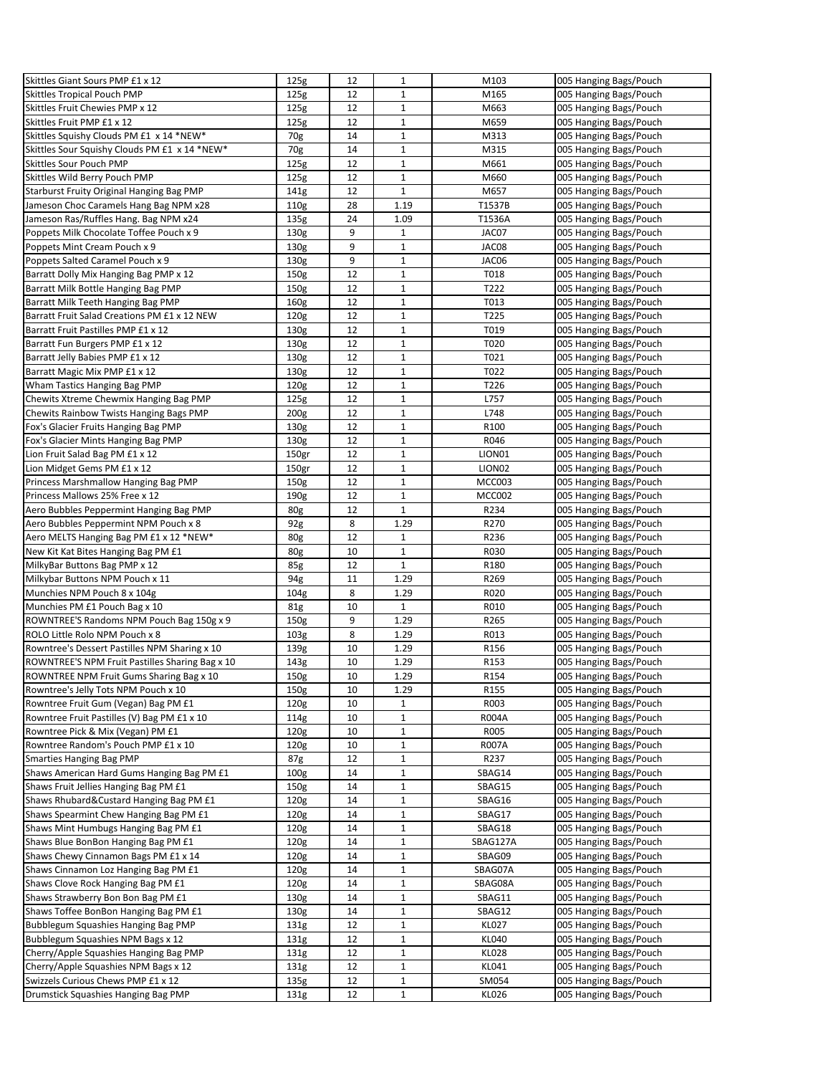| Skittles Giant Sours PMP £1 x 12                | 125g                     | 12       | 1                           | M103             | 005 Hanging Bags/Pouch                           |
|-------------------------------------------------|--------------------------|----------|-----------------------------|------------------|--------------------------------------------------|
| Skittles Tropical Pouch PMP                     | 125g                     | 12       | $\mathbf{1}$                | M165             | 005 Hanging Bags/Pouch                           |
| Skittles Fruit Chewies PMP x 12                 | 125g                     | 12       | 1                           | M663             | 005 Hanging Bags/Pouch                           |
| Skittles Fruit PMP £1 x 12                      | 125g                     | 12       | $\mathbf 1$                 | M659             | 005 Hanging Bags/Pouch                           |
| Skittles Squishy Clouds PM £1 x 14 *NEW*        | 70g                      | 14       | $\mathbf{1}$                | M313             | 005 Hanging Bags/Pouch                           |
| Skittles Sour Squishy Clouds PM £1 x 14 *NEW*   | 70g                      | 14       | $\mathbf 1$                 | M315             | 005 Hanging Bags/Pouch                           |
| Skittles Sour Pouch PMP                         | 125g                     | 12       | $\mathbf{1}$                | M661             | 005 Hanging Bags/Pouch                           |
| Skittles Wild Berry Pouch PMP                   | 125g                     | 12       | $\mathbf 1$                 | M660             | 005 Hanging Bags/Pouch                           |
| Starburst Fruity Original Hanging Bag PMP       | 141g                     | 12       | $\mathbf 1$                 | M657             | 005 Hanging Bags/Pouch                           |
| Jameson Choc Caramels Hang Bag NPM x28          | 110g                     | 28       | 1.19                        | T1537B           | 005 Hanging Bags/Pouch                           |
| Jameson Ras/Ruffles Hang. Bag NPM x24           | 135g                     | 24       | 1.09                        | T1536A           | 005 Hanging Bags/Pouch                           |
| Poppets Milk Chocolate Toffee Pouch x 9         | 130g                     | 9        | $\mathbf{1}$                | JAC07            | 005 Hanging Bags/Pouch                           |
| Poppets Mint Cream Pouch x 9                    | 130g                     | 9        | 1                           | JAC08            | 005 Hanging Bags/Pouch                           |
| Poppets Salted Caramel Pouch x 9                | 130g                     | 9        | $\mathbf 1$                 | JAC06            | 005 Hanging Bags/Pouch                           |
| Barratt Dolly Mix Hanging Bag PMP x 12          | 150 <sub>g</sub>         | 12       | $\mathbf{1}$                | T018             | 005 Hanging Bags/Pouch                           |
| Barratt Milk Bottle Hanging Bag PMP             | 150g                     | 12       | $\mathbf 1$                 | T222             | 005 Hanging Bags/Pouch                           |
| Barratt Milk Teeth Hanging Bag PMP              | 160 <sub>g</sub>         | 12       | $\mathbf 1$                 | T013             | 005 Hanging Bags/Pouch                           |
| Barratt Fruit Salad Creations PM £1 x 12 NEW    | 120 <sub>g</sub>         | 12       | $\mathbf 1$                 | T225             | 005 Hanging Bags/Pouch                           |
| Barratt Fruit Pastilles PMP £1 x 12             | 130g                     | 12       | $\mathbf{1}$                | T019             | 005 Hanging Bags/Pouch                           |
|                                                 | 130g                     | 12       | $\mathbf 1$                 | T020             |                                                  |
| Barratt Fun Burgers PMP £1 x 12                 |                          | 12       | $\mathbf 1$                 | T021             | 005 Hanging Bags/Pouch                           |
| Barratt Jelly Babies PMP £1 x 12                | 130g                     |          | $\mathbf{1}$                |                  | 005 Hanging Bags/Pouch                           |
| Barratt Magic Mix PMP £1 x 12                   | 130g                     | 12       |                             | T022             | 005 Hanging Bags/Pouch                           |
| Wham Tastics Hanging Bag PMP                    | 120g                     | 12       | 1                           | T226             | 005 Hanging Bags/Pouch                           |
| Chewits Xtreme Chewmix Hanging Bag PMP          | 125g                     | 12       | $\mathbf 1$                 | L757             | 005 Hanging Bags/Pouch                           |
| Chewits Rainbow Twists Hanging Bags PMP         | 200 <sub>g</sub>         | 12       | $\mathbf{1}$                | L748             | 005 Hanging Bags/Pouch                           |
| Fox's Glacier Fruits Hanging Bag PMP            | 130g                     | 12       | $\mathbf 1$                 | R100             | 005 Hanging Bags/Pouch                           |
| Fox's Glacier Mints Hanging Bag PMP             | 130g                     | 12       | $\mathbf 1$                 | R046             | 005 Hanging Bags/Pouch                           |
| Lion Fruit Salad Bag PM £1 x 12                 | 150gr                    | 12       | $\mathbf 1$                 | LION01           | 005 Hanging Bags/Pouch                           |
| Lion Midget Gems PM £1 x 12                     | 150gr                    | 12       | $\mathbf{1}$                | LION02           | 005 Hanging Bags/Pouch                           |
| Princess Marshmallow Hanging Bag PMP            | 150g                     | 12       | $\mathbf 1$                 | MCC003           | 005 Hanging Bags/Pouch                           |
| Princess Mallows 25% Free x 12                  | 190g                     | 12       | $\mathbf 1$                 | <b>MCC002</b>    | 005 Hanging Bags/Pouch                           |
| Aero Bubbles Peppermint Hanging Bag PMP         | 80g                      | 12       | $\mathbf{1}$                | R234             | 005 Hanging Bags/Pouch                           |
| Aero Bubbles Peppermint NPM Pouch x 8           | 92g                      | 8        | 1.29                        | R270             | 005 Hanging Bags/Pouch                           |
| Aero MELTS Hanging Bag PM £1 x 12 *NEW*         | 80g                      | 12       | $\mathbf 1$                 | R236             | 005 Hanging Bags/Pouch                           |
| New Kit Kat Bites Hanging Bag PM £1             | 80g                      | 10       | $\mathbf{1}$                | R030             | 005 Hanging Bags/Pouch                           |
| MilkyBar Buttons Bag PMP x 12                   | 85g                      | 12       | $\mathbf 1$                 | R180             | 005 Hanging Bags/Pouch                           |
| Milkybar Buttons NPM Pouch x 11                 | 94g                      | 11       | 1.29                        | R269             | 005 Hanging Bags/Pouch                           |
| Munchies NPM Pouch 8 x 104g                     | 104 <sub>g</sub>         | 8        | 1.29                        | R020             | 005 Hanging Bags/Pouch                           |
| Munchies PM £1 Pouch Bag x 10                   | 81g                      | 10       | $\mathbf{1}$                | R010             | 005 Hanging Bags/Pouch                           |
| ROWNTREE'S Randoms NPM Pouch Bag 150g x 9       | 150g                     | 9        | 1.29                        | R265             | 005 Hanging Bags/Pouch                           |
| ROLO Little Rolo NPM Pouch x 8                  | 103 <sub>g</sub>         | 8        | 1.29                        | R013             | 005 Hanging Bags/Pouch                           |
| Rowntree's Dessert Pastilles NPM Sharing x 10   | 139g                     | 10       | 1.29                        | R156             | 005 Hanging Bags/Pouch                           |
| ROWNTREE'S NPM Fruit Pastilles Sharing Bag x 10 | 143g                     | 10       | 1.29                        | R <sub>153</sub> | 005 Hanging Bags/Pouch                           |
| ROWNTREE NPM Fruit Gums Sharing Bag x 10        | 150g                     | 10       | 1.29                        | R154             | 005 Hanging Bags/Pouch                           |
| Rowntree's Jelly Tots NPM Pouch x 10            | 150g                     | 10       | 1.29                        | R <sub>155</sub> | 005 Hanging Bags/Pouch                           |
| Rowntree Fruit Gum (Vegan) Bag PM £1            | 120g                     | 10       | $\mathbf 1$                 | R003             | 005 Hanging Bags/Pouch                           |
| Rowntree Fruit Pastilles (V) Bag PM £1 x 10     | 114g                     | 10       | 1                           | <b>R004A</b>     | 005 Hanging Bags/Pouch                           |
| Rowntree Pick & Mix (Vegan) PM £1               | 120 <sub>g</sub>         | 10       | $\mathbf 1$                 | R005             | 005 Hanging Bags/Pouch                           |
| Rowntree Random's Pouch PMP £1 x 10             | 120 <sub>g</sub>         | 10       | $\mathbf{1}$                | <b>R007A</b>     | 005 Hanging Bags/Pouch                           |
| <b>Smarties Hanging Bag PMP</b>                 | 87g                      | 12       | $\mathbf 1$                 | R237             | 005 Hanging Bags/Pouch                           |
| Shaws American Hard Gums Hanging Bag PM £1      | 100 <sub>g</sub>         | 14       | $\mathbf 1$                 | SBAG14           | 005 Hanging Bags/Pouch                           |
| Shaws Fruit Jellies Hanging Bag PM £1           | 150g                     | 14       | $1\,$                       | SBAG15           | 005 Hanging Bags/Pouch                           |
| Shaws Rhubard&Custard Hanging Bag PM £1         | 120 <sub>g</sub>         | 14       | 1                           | SBAG16           | 005 Hanging Bags/Pouch                           |
| Shaws Spearmint Chew Hanging Bag PM £1          | 120 <sub>g</sub>         | 14       | $\mathbf 1$                 | SBAG17           | 005 Hanging Bags/Pouch                           |
| Shaws Mint Humbugs Hanging Bag PM £1            | 120 <sub>g</sub>         | 14       | $\mathbf 1$                 | SBAG18           | 005 Hanging Bags/Pouch                           |
| Shaws Blue BonBon Hanging Bag PM £1             | 120 <sub>g</sub>         | 14       | $\mathbf 1$                 | SBAG127A         | 005 Hanging Bags/Pouch                           |
| Shaws Chewy Cinnamon Bags PM £1 x 14            | 120 <sub>g</sub>         | 14       | $\mathbf 1$                 | SBAG09           | 005 Hanging Bags/Pouch                           |
| Shaws Cinnamon Loz Hanging Bag PM £1            | 120 <sub>g</sub>         | 14       | $\mathbf 1$                 | SBAG07A          | 005 Hanging Bags/Pouch                           |
| Shaws Clove Rock Hanging Bag PM £1              | 120g                     | 14       | $\mathbf{1}$                | SBAG08A          | 005 Hanging Bags/Pouch                           |
| Shaws Strawberry Bon Bon Bag PM £1              | 130g                     | 14       | $\mathbf 1$                 | SBAG11           | 005 Hanging Bags/Pouch                           |
| Shaws Toffee BonBon Hanging Bag PM £1           | 130g                     | 14       | $\mathbf 1$                 | SBAG12           | 005 Hanging Bags/Pouch                           |
| Bubblegum Squashies Hanging Bag PMP             | 131g                     | 12       | $1\,$                       | <b>KL027</b>     | 005 Hanging Bags/Pouch                           |
| Bubblegum Squashies NPM Bags x 12               | 131g                     |          |                             | <b>KL040</b>     | 005 Hanging Bags/Pouch                           |
| Cherry/Apple Squashies Hanging Bag PMP          |                          | 12<br>12 | $\mathbf{1}$<br>$\mathbf 1$ | <b>KL028</b>     | 005 Hanging Bags/Pouch                           |
| Cherry/Apple Squashies NPM Bags x 12            | 131g<br>131 <sub>g</sub> | 12       | $1\,$                       | KL041            |                                                  |
| Swizzels Curious Chews PMP £1 x 12              |                          | 12       |                             | SM054            | 005 Hanging Bags/Pouch<br>005 Hanging Bags/Pouch |
|                                                 | 135g                     |          | $\mathbf 1$                 |                  |                                                  |
| Drumstick Squashies Hanging Bag PMP             | 131g                     | 12       | $\mathbf{1}$                | <b>KL026</b>     | 005 Hanging Bags/Pouch                           |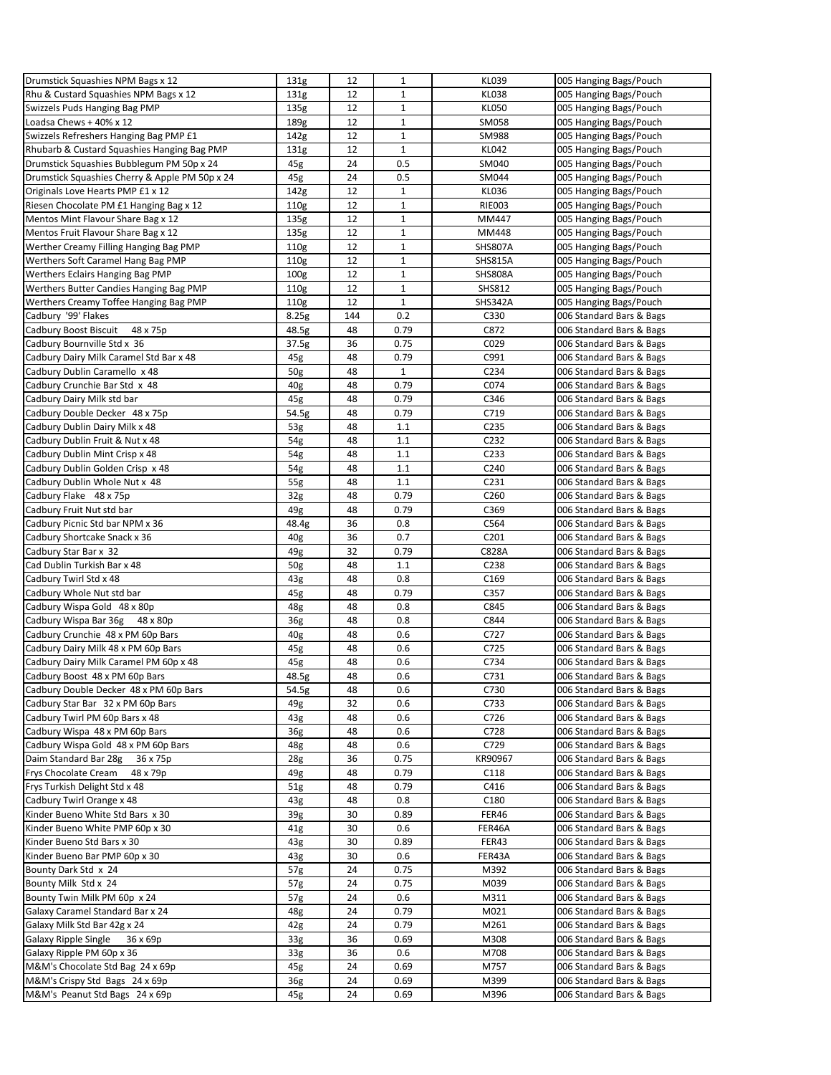| Drumstick Squashies NPM Bags x 12              | 131g             | 12  | $\mathbf{1}$ | <b>KL039</b>     | 005 Hanging Bags/Pouch   |
|------------------------------------------------|------------------|-----|--------------|------------------|--------------------------|
| Rhu & Custard Squashies NPM Bags x 12          | 131g             | 12  | $\mathbf{1}$ | <b>KL038</b>     | 005 Hanging Bags/Pouch   |
| Swizzels Puds Hanging Bag PMP                  | 135g             | 12  | $\mathbf 1$  | <b>KL050</b>     | 005 Hanging Bags/Pouch   |
| Loadsa Chews + 40% x 12                        |                  | 12  | $\mathbf{1}$ | SM058            |                          |
|                                                | 189g             |     |              |                  | 005 Hanging Bags/Pouch   |
| Swizzels Refreshers Hanging Bag PMP £1         | 142g             | 12  | $1\,$        | SM988            | 005 Hanging Bags/Pouch   |
| Rhubarb & Custard Squashies Hanging Bag PMP    | 131 <sub>g</sub> | 12  | $\mathbf{1}$ | <b>KL042</b>     | 005 Hanging Bags/Pouch   |
| Drumstick Squashies Bubblegum PM 50p x 24      | 45g              | 24  | 0.5          | SM040            | 005 Hanging Bags/Pouch   |
| Drumstick Squashies Cherry & Apple PM 50p x 24 | 45g              | 24  | 0.5          | SM044            | 005 Hanging Bags/Pouch   |
| Originals Love Hearts PMP £1 x 12              | 142g             | 12  | $\mathbf{1}$ | <b>KL036</b>     | 005 Hanging Bags/Pouch   |
| Riesen Chocolate PM £1 Hanging Bag x 12        | 110g             | 12  | $\mathbf{1}$ | <b>RIE003</b>    | 005 Hanging Bags/Pouch   |
| Mentos Mint Flavour Share Bag x 12             | 135g             | 12  | $1\,$        | MM447            | 005 Hanging Bags/Pouch   |
| Mentos Fruit Flavour Share Bag x 12            | 135g             | 12  | $1\,$        | MM448            | 005 Hanging Bags/Pouch   |
| Werther Creamy Filling Hanging Bag PMP         |                  |     |              |                  |                          |
|                                                | 110g             | 12  | $\mathbf 1$  | SHS807A          | 005 Hanging Bags/Pouch   |
| Werthers Soft Caramel Hang Bag PMP             | 110g             | 12  | $\mathbf{1}$ | <b>SHS815A</b>   | 005 Hanging Bags/Pouch   |
| Werthers Eclairs Hanging Bag PMP               | 100 <sub>g</sub> | 12  | $\mathbf 1$  | <b>SHS808A</b>   | 005 Hanging Bags/Pouch   |
| Werthers Butter Candies Hanging Bag PMP        | 110g             | 12  | $\mathbf{1}$ | <b>SHS812</b>    | 005 Hanging Bags/Pouch   |
| Werthers Creamy Toffee Hanging Bag PMP         | 110g             | 12  | $\mathbf{1}$ | SHS342A          | 005 Hanging Bags/Pouch   |
| Cadbury '99' Flakes                            | 8.25g            | 144 | 0.2          | C330             | 006 Standard Bars & Bags |
| Cadbury Boost Biscuit<br>48 x 75p              | 48.5g            | 48  | 0.79         | C872             | 006 Standard Bars & Bags |
| Cadbury Bournville Std x 36                    | 37.5g            | 36  | 0.75         | C029             | 006 Standard Bars & Bags |
| Cadbury Dairy Milk Caramel Std Bar x 48        | 45g              | 48  | 0.79         | C991             | 006 Standard Bars & Bags |
| Cadbury Dublin Caramello x 48                  | 50g              | 48  | $\mathbf{1}$ | C234             | 006 Standard Bars & Bags |
|                                                |                  |     |              |                  |                          |
| Cadbury Crunchie Bar Std x 48                  | 40 <sub>g</sub>  | 48  | 0.79         | C074             | 006 Standard Bars & Bags |
| Cadbury Dairy Milk std bar                     | 45g              | 48  | 0.79         | C346             | 006 Standard Bars & Bags |
| Cadbury Double Decker 48 x 75p                 | 54.5g            | 48  | 0.79         | C719             | 006 Standard Bars & Bags |
| Cadbury Dublin Dairy Milk x 48                 | 53g              | 48  | 1.1          | C235             | 006 Standard Bars & Bags |
| Cadbury Dublin Fruit & Nut x 48                | $54g$            | 48  | 1.1          | C232             | 006 Standard Bars & Bags |
| Cadbury Dublin Mint Crisp x 48                 | 54g              | 48  | 1.1          | C233             | 006 Standard Bars & Bags |
| Cadbury Dublin Golden Crisp x 48               | 54g              | 48  | 1.1          | C240             | 006 Standard Bars & Bags |
| Cadbury Dublin Whole Nut x 48                  | 55g              | 48  | 1.1          | C <sub>231</sub> | 006 Standard Bars & Bags |
| Cadbury Flake 48 x 75p                         | 32 <sub>g</sub>  | 48  | 0.79         | C <sub>260</sub> | 006 Standard Bars & Bags |
|                                                | 49g              | 48  | 0.79         | C369             |                          |
| Cadbury Fruit Nut std bar                      |                  |     |              |                  | 006 Standard Bars & Bags |
| Cadbury Picnic Std bar NPM x 36                | 48.4g            | 36  | 0.8          | C564             | 006 Standard Bars & Bags |
| Cadbury Shortcake Snack x 36                   | 40g              | 36  | 0.7          | C201             | 006 Standard Bars & Bags |
| Cadbury Star Bar x 32                          | 49g              | 32  | 0.79         | C828A            | 006 Standard Bars & Bags |
| Cad Dublin Turkish Bar x 48                    | 50g              | 48  | 1.1          | C238             | 006 Standard Bars & Bags |
| Cadbury Twirl Std x 48                         | 43g              | 48  | 0.8          | C <sub>169</sub> | 006 Standard Bars & Bags |
| Cadbury Whole Nut std bar                      | 45g              | 48  | 0.79         | C357             | 006 Standard Bars & Bags |
| Cadbury Wispa Gold 48 x 80p                    | 48g              | 48  | 0.8          | C845             | 006 Standard Bars & Bags |
| Cadbury Wispa Bar 36g 48 x 80p                 | 36g              | 48  | 0.8          | C844             | 006 Standard Bars & Bags |
| Cadbury Crunchie 48 x PM 60p Bars              | 40g              | 48  | 0.6          | C727             | 006 Standard Bars & Bags |
|                                                |                  |     |              |                  |                          |
| Cadbury Dairy Milk 48 x PM 60p Bars            | 45g              | 48  | 0.6          | C725             | 006 Standard Bars & Bags |
| Cadbury Dairy Milk Caramel PM 60p x 48         | 45g              | 48  | 0.6          | C734             | 006 Standard Bars & Bags |
| Cadbury Boost 48 x PM 60p Bars                 | 48.5g            | 48  | 0.6          | C731             | 006 Standard Bars & Bags |
| Cadbury Double Decker 48 x PM 60p Bars         | 54.5g            | 48  | 0.6          | C730             | 006 Standard Bars & Bags |
| Cadbury Star Bar 32 x PM 60p Bars              | 49g              | 32  | 0.6          | C733             | 006 Standard Bars & Bags |
| Cadbury Twirl PM 60p Bars x 48                 | 43g              | 48  | 0.6          | C726             | 006 Standard Bars & Bags |
| Cadbury Wispa 48 x PM 60p Bars                 | 36g              | 48  | 0.6          | C728             | 006 Standard Bars & Bags |
| Cadbury Wispa Gold 48 x PM 60p Bars            | 48g              | 48  | 0.6          | C729             | 006 Standard Bars & Bags |
| Daim Standard Bar 28g<br>36 x 75p              | 28g              | 36  | 0.75         | KR90967          | 006 Standard Bars & Bags |
| Frys Chocolate Cream<br>48 x 79p               | 49g              | 48  | 0.79         | C118             | 006 Standard Bars & Bags |
| Frys Turkish Delight Std x 48                  | 51 <sub>g</sub>  | 48  | 0.79         | C416             | 006 Standard Bars & Bags |
| Cadbury Twirl Orange x 48                      |                  | 48  | 0.8          | C <sub>180</sub> | 006 Standard Bars & Bags |
|                                                | 43 <sub>g</sub>  |     |              |                  |                          |
| Kinder Bueno White Std Bars x 30               | 39g              | 30  | 0.89         | FER46            | 006 Standard Bars & Bags |
| Kinder Bueno White PMP 60p x 30                | 41g              | 30  | 0.6          | FER46A           | 006 Standard Bars & Bags |
| Kinder Bueno Std Bars x 30                     | 43 <sub>g</sub>  | 30  | 0.89         | FER43            | 006 Standard Bars & Bags |
| Kinder Bueno Bar PMP 60p x 30                  | 43g              | 30  | 0.6          | FER43A           | 006 Standard Bars & Bags |
| Bounty Dark Std x 24                           | 57g              | 24  | 0.75         | M392             | 006 Standard Bars & Bags |
| Bounty Milk Std x 24                           | 57g              | 24  | 0.75         | M039             | 006 Standard Bars & Bags |
| Bounty Twin Milk PM 60p x 24                   | 57g              | 24  | 0.6          | M311             | 006 Standard Bars & Bags |
| Galaxy Caramel Standard Bar x 24               | 48g              | 24  | 0.79         | M021             | 006 Standard Bars & Bags |
| Galaxy Milk Std Bar 42g x 24                   | 42g              | 24  | 0.79         | M261             | 006 Standard Bars & Bags |
| <b>Galaxy Ripple Single</b>                    |                  | 36  |              |                  |                          |
| 36 x 69p                                       | 33 <sub>g</sub>  |     | 0.69         | M308             | 006 Standard Bars & Bags |
| Galaxy Ripple PM 60p x 36                      | 33g              | 36  | 0.6          | M708             | 006 Standard Bars & Bags |
| M&M's Chocolate Std Bag 24 x 69p               | 45g              | 24  | 0.69         | M757             | 006 Standard Bars & Bags |
| M&M's Crispy Std Bags 24 x 69p                 | 36g              | 24  | 0.69         | M399             | 006 Standard Bars & Bags |
| M&M's Peanut Std Bags 24 x 69p                 | 45g              | 24  | 0.69         | M396             | 006 Standard Bars & Bags |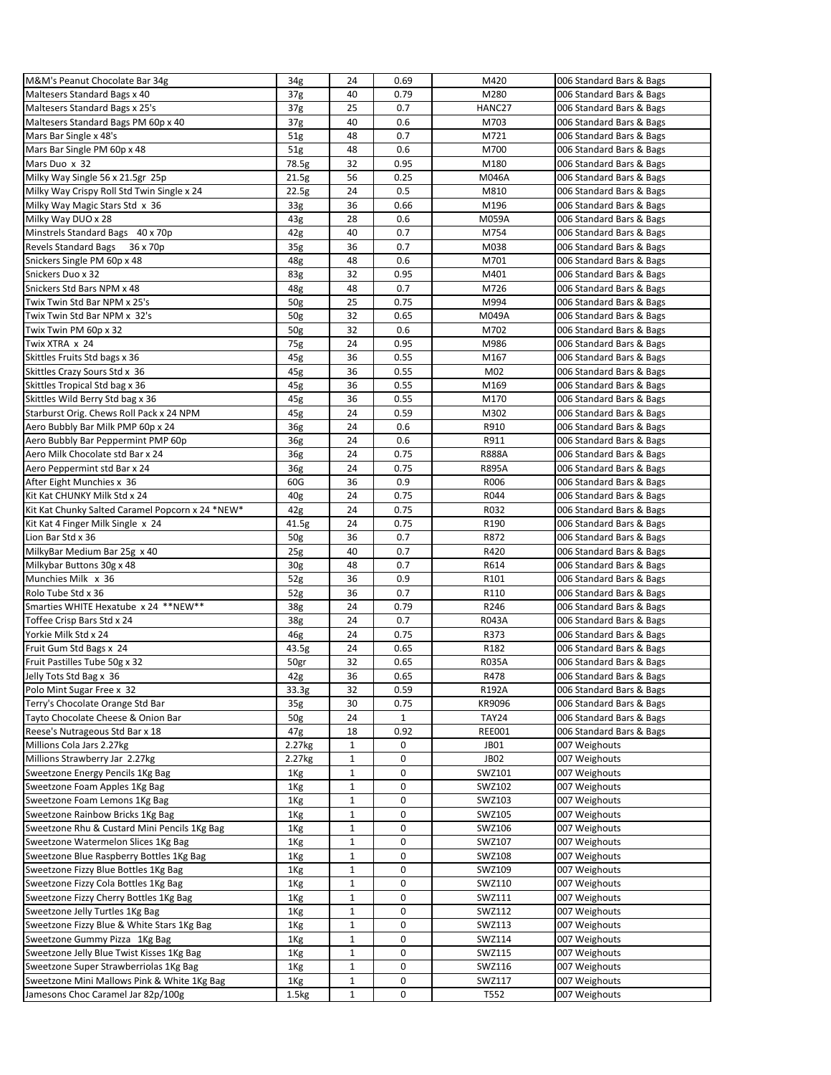| M&M's Peanut Chocolate Bar 34g                   | 34g             | 24           | 0.69         | M420             | 006 Standard Bars & Bags |
|--------------------------------------------------|-----------------|--------------|--------------|------------------|--------------------------|
| Maltesers Standard Bags x 40                     | 37 <sub>g</sub> | 40           | 0.79         | M280             | 006 Standard Bars & Bags |
| Maltesers Standard Bags x 25's                   | 37 <sub>g</sub> | 25           | 0.7          | HANC27           | 006 Standard Bars & Bags |
| Maltesers Standard Bags PM 60p x 40              | 37 <sub>g</sub> | 40           | 0.6          | M703             | 006 Standard Bars & Bags |
| Mars Bar Single x 48's                           | 51 <sub>g</sub> | 48           | 0.7          | M721             | 006 Standard Bars & Bags |
| Mars Bar Single PM 60p x 48                      | 51g             | 48           | 0.6          | M700             | 006 Standard Bars & Bags |
| Mars Duo x 32                                    | 78.5g           | 32           | 0.95         | M180             | 006 Standard Bars & Bags |
| Milky Way Single 56 x 21.5gr 25p                 | 21.5g           | 56           | 0.25         | M046A            | 006 Standard Bars & Bags |
| Milky Way Crispy Roll Std Twin Single x 24       | 22.5g           | 24           | 0.5          | M810             | 006 Standard Bars & Bags |
| Milky Way Magic Stars Std x 36                   | 33 <sub>g</sub> | 36           | 0.66         | M196             | 006 Standard Bars & Bags |
| Milky Way DUO x 28                               | 43g             | 28           | 0.6          | M059A            | 006 Standard Bars & Bags |
| Minstrels Standard Bags 40 x 70p                 | 42g             | 40           | 0.7          | M754             | 006 Standard Bars & Bags |
| Revels Standard Bags 36 x 70p                    | 35 <sub>g</sub> | 36           | 0.7          | M038             | 006 Standard Bars & Bags |
| Snickers Single PM 60p x 48                      | 48g             | 48           | 0.6          | M701             | 006 Standard Bars & Bags |
| Snickers Duo x 32                                | 83g             | 32           | 0.95         | M401             | 006 Standard Bars & Bags |
| Snickers Std Bars NPM x 48                       | 48g             | 48           | 0.7          | M726             | 006 Standard Bars & Bags |
| Twix Twin Std Bar NPM x 25's                     | 50g             | 25           | 0.75         | M994             | 006 Standard Bars & Bags |
| Twix Twin Std Bar NPM x 32's                     | 50 <sub>g</sub> | 32           | 0.65         | M049A            | 006 Standard Bars & Bags |
| Twix Twin PM 60p x 32                            |                 | 32           | 0.6          | M702             | 006 Standard Bars & Bags |
|                                                  | 50g             |              |              |                  |                          |
| Twix XTRA x 24                                   | 75g             | 24<br>36     | 0.95<br>0.55 | M986<br>M167     | 006 Standard Bars & Bags |
| Skittles Fruits Std bags x 36                    | 45g             |              |              |                  | 006 Standard Bars & Bags |
| Skittles Crazy Sours Std x 36                    | 45g             | 36           | 0.55         | M02              | 006 Standard Bars & Bags |
| Skittles Tropical Std bag x 36                   | 45g             | 36           | 0.55         | M169             | 006 Standard Bars & Bags |
| Skittles Wild Berry Std bag x 36                 | 45g             | 36           | 0.55         | M170             | 006 Standard Bars & Bags |
| Starburst Orig. Chews Roll Pack x 24 NPM         | 45g             | 24           | 0.59         | M302             | 006 Standard Bars & Bags |
| Aero Bubbly Bar Milk PMP 60p x 24                | 36g             | 24           | 0.6          | R910             | 006 Standard Bars & Bags |
| Aero Bubbly Bar Peppermint PMP 60p               | 36g             | 24           | 0.6          | R911             | 006 Standard Bars & Bags |
| Aero Milk Chocolate std Bar x 24                 | 36g             | 24           | 0.75         | <b>R888A</b>     | 006 Standard Bars & Bags |
| Aero Peppermint std Bar x 24                     | 36g             | 24           | 0.75         | <b>R895A</b>     | 006 Standard Bars & Bags |
| After Eight Munchies x 36                        | 60G             | 36           | 0.9          | R006             | 006 Standard Bars & Bags |
| Kit Kat CHUNKY Milk Std x 24                     | 40 <sub>g</sub> | 24           | 0.75         | R044             | 006 Standard Bars & Bags |
| Kit Kat Chunky Salted Caramel Popcorn x 24 *NEW* | 42g             | 24           | 0.75         | R032             | 006 Standard Bars & Bags |
| Kit Kat 4 Finger Milk Single x 24                | 41.5g           | 24           | 0.75         | R190             | 006 Standard Bars & Bags |
| Lion Bar Std x 36                                | 50g             | 36           | 0.7          | R872             | 006 Standard Bars & Bags |
| MilkyBar Medium Bar 25g x 40                     | 25 <sub>g</sub> | 40           | 0.7          | R420             | 006 Standard Bars & Bags |
| Milkybar Buttons 30g x 48                        | 30 <sub>g</sub> | 48           | 0.7          | R614             | 006 Standard Bars & Bags |
| Munchies Milk x 36                               | 52 <sub>g</sub> | 36           | 0.9          | R101             | 006 Standard Bars & Bags |
| Rolo Tube Std x 36                               | 52 <sub>g</sub> | 36           | 0.7          | R110             | 006 Standard Bars & Bags |
| Smarties WHITE Hexatube x 24 ** NEW**            | 38g             | 24           | 0.79         | R246             | 006 Standard Bars & Bags |
| Toffee Crisp Bars Std x 24                       | 38g             | 24           | 0.7          | R043A            | 006 Standard Bars & Bags |
| Yorkie Milk Std x 24                             | 46g             | 24           | 0.75         | R373             | 006 Standard Bars & Bags |
| Fruit Gum Std Bags x 24                          | 43.5g           | 24           | 0.65         | R182             | 006 Standard Bars & Bags |
| Fruit Pastilles Tube 50g x 32                    | 50gr            | 32           | 0.65         | R035A            | 006 Standard Bars & Bags |
| Jelly Tots Std Bag x 36                          | 42g             | 36           | 0.65         | R478             | 006 Standard Bars & Bags |
| Polo Mint Sugar Free x 32                        | 33.3g           | 32           | 0.59         | R192A            | 006 Standard Bars & Bags |
| Terry's Chocolate Orange Std Bar                 | 35 <sub>g</sub> | 30           | 0.75         | KR9096           | 006 Standard Bars & Bags |
| Tayto Chocolate Cheese & Onion Bar               | 50g             | 24           | $\mathbf{1}$ | <b>TAY24</b>     | 006 Standard Bars & Bags |
| Reese's Nutrageous Std Bar x 18                  | 47g             | 18           | 0.92         | <b>REE001</b>    | 006 Standard Bars & Bags |
| Millions Cola Jars 2.27kg                        | 2.27kg          | $\mathbf{1}$ | 0            | JB01             | 007 Weighouts            |
| Millions Strawberry Jar 2.27kg                   | 2.27kg          | 1            | 0            | JB <sub>02</sub> | 007 Weighouts            |
| Sweetzone Energy Pencils 1Kg Bag                 | 1Kg             | $\mathbf{1}$ | 0            | SWZ101           | 007 Weighouts            |
| Sweetzone Foam Apples 1Kg Bag                    | 1Kg             | 1            | 0            | SWZ102           | 007 Weighouts            |
| Sweetzone Foam Lemons 1Kg Bag                    | 1Kg             | 1            | 0            | SWZ103           | 007 Weighouts            |
| Sweetzone Rainbow Bricks 1Kg Bag                 | 1Kg             | 1            | 0            | SWZ105           | 007 Weighouts            |
| Sweetzone Rhu & Custard Mini Pencils 1Kg Bag     | 1 <sub>Kg</sub> | 1            | 0            | SWZ106           | 007 Weighouts            |
| Sweetzone Watermelon Slices 1Kg Bag              | 1Kg             | $\mathbf{1}$ | 0            | SWZ107           | 007 Weighouts            |
|                                                  |                 |              |              |                  | 007 Weighouts            |
| Sweetzone Blue Raspberry Bottles 1Kg Bag         | 1Kg             | 1            | 0<br>0       | SWZ108           |                          |
| Sweetzone Fizzy Blue Bottles 1Kg Bag             | 1Kg             | 1            |              | SWZ109           | 007 Weighouts            |
| Sweetzone Fizzy Cola Bottles 1Kg Bag             | 1Kg             | $\mathbf{1}$ | 0            | SWZ110           | 007 Weighouts            |
| Sweetzone Fizzy Cherry Bottles 1Kg Bag           | 1Kg             | 1            | 0            | SWZ111           | 007 Weighouts            |
| Sweetzone Jelly Turtles 1Kg Bag                  | 1Kg             | $\mathbf{1}$ | 0            | SWZ112           | 007 Weighouts            |
| Sweetzone Fizzy Blue & White Stars 1Kg Bag       | 1Kg             | 1            | 0            | SWZ113           | 007 Weighouts            |
| Sweetzone Gummy Pizza 1Kg Bag                    | 1Kg             | 1            | 0            | SWZ114           | 007 Weighouts            |
| Sweetzone Jelly Blue Twist Kisses 1Kg Bag        | 1Kg             | 1            | 0            | SWZ115           | 007 Weighouts            |
| Sweetzone Super Strawberriolas 1Kg Bag           | 1 <sub>Kg</sub> | $\mathbf{1}$ | 0            | SWZ116           | 007 Weighouts            |
| Sweetzone Mini Mallows Pink & White 1Kg Bag      | 1Kg             | $\mathbf{1}$ | 0            | SWZ117           | 007 Weighouts            |
| Jamesons Choc Caramel Jar 82p/100g               | 1.5kg           | 1            | 0            | T552             | 007 Weighouts            |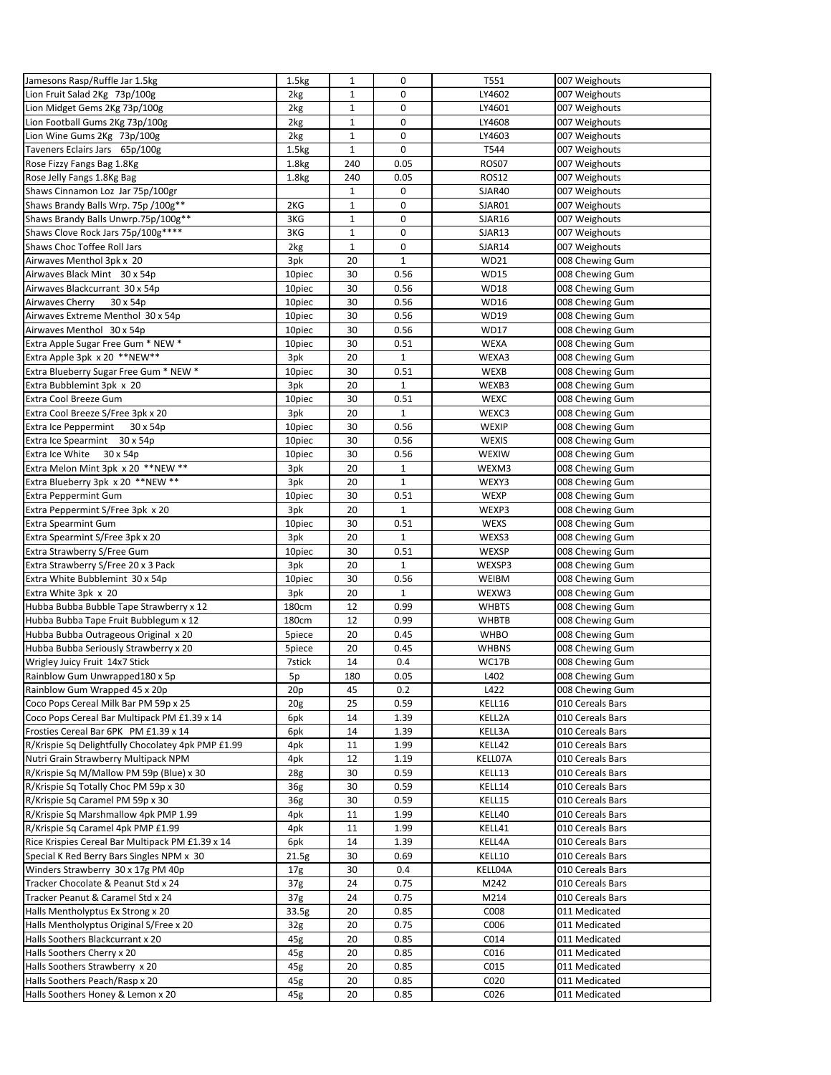| Jamesons Rasp/Ruffle Jar 1.5kg                                            | 1.5kg             | $\mathbf{1}$ | 0                    | T551         | 007 Weighouts                      |
|---------------------------------------------------------------------------|-------------------|--------------|----------------------|--------------|------------------------------------|
| Lion Fruit Salad 2Kg 73p/100g                                             | 2kg               | 1            | 0                    | LY4602       | 007 Weighouts                      |
| Lion Midget Gems 2Kg 73p/100g                                             | 2kg               | $\mathbf{1}$ | 0                    | LY4601       | 007 Weighouts                      |
| Lion Football Gums 2Kg 73p/100g                                           | 2kg               | 1            | 0                    | LY4608       | 007 Weighouts                      |
| Lion Wine Gums 2Kg 73p/100g                                               | 2kg               | $\mathbf{1}$ | 0                    | LY4603       | 007 Weighouts                      |
| Taveners Eclairs Jars 65p/100g                                            | 1.5kg             | $\mathbf{1}$ | 0                    | T544         | 007 Weighouts                      |
| Rose Fizzy Fangs Bag 1.8Kg                                                | 1.8 <sub>kg</sub> | 240          | 0.05                 | ROS07        | 007 Weighouts                      |
| Rose Jelly Fangs 1.8Kg Bag                                                | 1.8 <sub>kg</sub> | 240          | 0.05                 | <b>ROS12</b> | 007 Weighouts                      |
| Shaws Cinnamon Loz Jar 75p/100gr                                          |                   | $\mathbf{1}$ | 0                    | SJAR40       | 007 Weighouts                      |
| Shaws Brandy Balls Wrp. 75p /100g**                                       | 2KG               | $\mathbf{1}$ | 0                    | SJAR01       | 007 Weighouts                      |
| Shaws Brandy Balls Unwrp.75p/100g**                                       | 3KG               | $\mathbf{1}$ | 0                    | SJAR16       | 007 Weighouts                      |
| Shaws Clove Rock Jars 75p/100g****                                        | 3KG               | $\mathbf{1}$ | 0                    | SJAR13       | 007 Weighouts                      |
| Shaws Choc Toffee Roll Jars                                               | 2kg               | $\mathbf{1}$ | 0                    | SJAR14       | 007 Weighouts                      |
| Airwaves Menthol 3pk x 20                                                 | 3pk               | 20           | $\mathbf{1}$         | WD21         | 008 Chewing Gum                    |
| Airwaves Black Mint 30 x 54p                                              | 10piec            | 30           | 0.56                 | <b>WD15</b>  | 008 Chewing Gum                    |
| Airwaves Blackcurrant 30 x 54p                                            | 10piec            | 30           | 0.56                 | <b>WD18</b>  | 008 Chewing Gum                    |
| Airwaves Cherry<br>30 x 54p                                               | 10piec            | 30           | 0.56                 | WD16         | 008 Chewing Gum                    |
| Airwaves Extreme Menthol 30 x 54p                                         | 10piec            | 30           | 0.56                 | WD19         | 008 Chewing Gum                    |
| Airwaves Menthol 30 x 54p                                                 | 10piec            | 30           | 0.56                 | <b>WD17</b>  | 008 Chewing Gum                    |
| Extra Apple Sugar Free Gum * NEW *                                        | 10piec            | 30           | 0.51                 | WEXA         | 008 Chewing Gum                    |
| Extra Apple 3pk x 20 **NEW**                                              | 3pk               | 20           | $\mathbf{1}$         | WEXA3        | 008 Chewing Gum                    |
| Extra Blueberry Sugar Free Gum * NEW *                                    | 10piec            | 30           | 0.51                 | WEXB         | 008 Chewing Gum                    |
| Extra Bubblemint 3pk x 20                                                 | 3pk               | 20           | $\mathbf{1}$         | WEXB3        | 008 Chewing Gum                    |
| Extra Cool Breeze Gum                                                     | 10piec            | 30           | 0.51                 | <b>WEXC</b>  | 008 Chewing Gum                    |
| Extra Cool Breeze S/Free 3pk x 20                                         | 3pk               | 20           | $\mathbf{1}$         | WEXC3        | 008 Chewing Gum                    |
| 30 x 54p                                                                  |                   | 30           | 0.56                 | WEXIP        |                                    |
| Extra Ice Peppermint                                                      | 10piec<br>10piec  | 30           | 0.56                 | WEXIS        | 008 Chewing Gum<br>008 Chewing Gum |
| Extra Ice Spearmint 30 x 54p                                              |                   |              |                      |              |                                    |
| Extra Ice White 30 x 54p                                                  | 10piec            | 30           | 0.56<br>$\mathbf{1}$ | WEXIW        | 008 Chewing Gum                    |
| Extra Melon Mint 3pk x 20 ** NEW **<br>Extra Blueberry 3pk x 20 ** NEW ** | 3pk               | 20           |                      | WEXM3        | 008 Chewing Gum                    |
|                                                                           | 3pk               | 20           | $\mathbf{1}$         | WEXY3        | 008 Chewing Gum                    |
| Extra Peppermint Gum                                                      | 10piec            | 30           | 0.51                 | <b>WEXP</b>  | 008 Chewing Gum                    |
| Extra Peppermint S/Free 3pk x 20                                          | 3pk               | 20           | $\mathbf{1}$         | WEXP3        | 008 Chewing Gum                    |
| <b>Extra Spearmint Gum</b>                                                | 10piec            | 30           | 0.51                 | WEXS         | 008 Chewing Gum                    |
| Extra Spearmint S/Free 3pk x 20                                           | 3pk               | 20           | $\mathbf{1}$         | WEXS3        | 008 Chewing Gum                    |
| Extra Strawberry S/Free Gum                                               | 10piec            | 30           | 0.51                 | WEXSP        | 008 Chewing Gum                    |
| Extra Strawberry S/Free 20 x 3 Pack                                       | 3pk               | 20           | $\mathbf{1}$         | WEXSP3       | 008 Chewing Gum                    |
| Extra White Bubblemint 30 x 54p                                           | 10piec            | 30           | 0.56                 | WEIBM        | 008 Chewing Gum                    |
| Extra White 3pk x 20                                                      | 3pk               | 20           | $\mathbf{1}$         | WEXW3        | 008 Chewing Gum                    |
| Hubba Bubba Bubble Tape Strawberry x 12                                   | 180cm             | 12           | 0.99                 | <b>WHBTS</b> | 008 Chewing Gum                    |
| Hubba Bubba Tape Fruit Bubblegum x 12                                     | 180cm             | 12           | 0.99                 | <b>WHBTB</b> | 008 Chewing Gum                    |
| Hubba Bubba Outrageous Original x 20                                      | 5piece            | 20           | 0.45                 | <b>WHBO</b>  | 008 Chewing Gum                    |
| Hubba Bubba Seriously Strawberry x 20                                     | 5piece            | 20           | 0.45                 | <b>WHBNS</b> | 008 Chewing Gum                    |
| Wrigley Juicy Fruit 14x7 Stick                                            | 7stick            | 14           | 0.4                  | WC17B        | 008 Chewing Gum                    |
| Rainblow Gum Unwrapped180 x 5p                                            | 5p                | 180          | 0.05                 | L402         | 008 Chewing Gum                    |
| Rainblow Gum Wrapped 45 x 20p                                             | 20p               | 45           | 0.2                  | L422         | 008 Chewing Gum                    |
| Coco Pops Cereal Milk Bar PM 59p x 25                                     | 20 <sub>g</sub>   | 25           | 0.59                 | KELL16       | 010 Cereals Bars                   |
| Coco Pops Cereal Bar Multipack PM £1.39 x 14                              | 6pk               | 14           | 1.39                 | KELL2A       | 010 Cereals Bars                   |
| Frosties Cereal Bar 6PK PM £1.39 x 14                                     | 6pk               | 14           | 1.39                 | KELL3A       | 010 Cereals Bars                   |
| R/Krispie Sq Delightfully Chocolatey 4pk PMP £1.99                        | 4pk               | 11           | 1.99                 | KELL42       | 010 Cereals Bars                   |
| Nutri Grain Strawberry Multipack NPM                                      | 4pk               | 12           | 1.19                 | KELL07A      | 010 Cereals Bars                   |
| R/Krispie Sq M/Mallow PM 59p (Blue) x 30                                  | 28g               | 30           | 0.59                 | KELL13       | 010 Cereals Bars                   |
| R/Krispie Sq Totally Choc PM 59p x 30                                     | 36g               | 30           | 0.59                 | KELL14       | 010 Cereals Bars                   |
| R/Krispie Sq Caramel PM 59p x 30                                          | 36g               | 30           | 0.59                 | KELL15       | 010 Cereals Bars                   |
| R/Krispie Sq Marshmallow 4pk PMP 1.99                                     | 4pk               | 11           | 1.99                 | KELL40       | 010 Cereals Bars                   |
| R/Krispie Sq Caramel 4pk PMP £1.99                                        | 4pk               | 11           | 1.99                 | KELL41       | 010 Cereals Bars                   |
| Rice Krispies Cereal Bar Multipack PM £1.39 x 14                          | 6pk               | 14           | 1.39                 | KELL4A       | 010 Cereals Bars                   |
| Special K Red Berry Bars Singles NPM x 30                                 | 21.5g             | 30           | 0.69                 | KELL10       | 010 Cereals Bars                   |
| Winders Strawberry 30 x 17g PM 40p                                        | 17 <sub>g</sub>   | 30           | 0.4                  | KELL04A      | 010 Cereals Bars                   |
| Tracker Chocolate & Peanut Std x 24                                       | 37 <sub>g</sub>   | 24           | 0.75                 | M242         | 010 Cereals Bars                   |
| Tracker Peanut & Caramel Std x 24                                         | 37 <sub>g</sub>   | 24           | 0.75                 | M214         | 010 Cereals Bars                   |
| Halls Mentholyptus Ex Strong x 20                                         | 33.5g             | 20           | 0.85                 | C008         | 011 Medicated                      |
| Halls Mentholyptus Original S/Free x 20                                   | 32 <sub>g</sub>   | 20           | 0.75                 | C006         | 011 Medicated                      |
| Halls Soothers Blackcurrant x 20                                          | 45g               | 20           | 0.85                 | C014         | 011 Medicated                      |
| Halls Soothers Cherry x 20                                                | 45g               | 20           | 0.85                 | C016         | 011 Medicated                      |
| Halls Soothers Strawberry x 20                                            | 45g               | 20           | 0.85                 | C015         | 011 Medicated                      |
| Halls Soothers Peach/Rasp x 20                                            | 45g               | 20           | 0.85                 | C020         | 011 Medicated                      |
| Halls Soothers Honey & Lemon x 20                                         | 45g               | 20           | 0.85                 | C026         | 011 Medicated                      |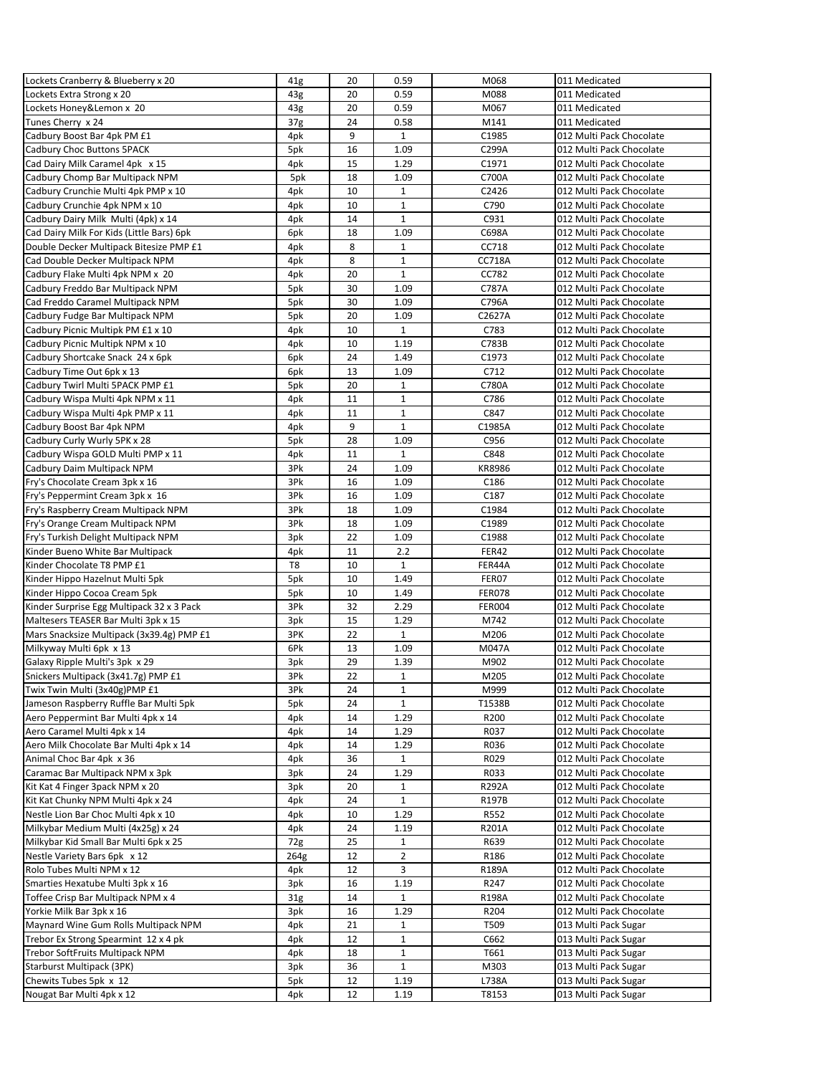| Lockets Cranberry & Blueberry x 20        | 41g             | 20 | 0.59         | M068             | 011 Medicated            |
|-------------------------------------------|-----------------|----|--------------|------------------|--------------------------|
| Lockets Extra Strong x 20                 | 43g             | 20 | 0.59         | M088             | 011 Medicated            |
| Lockets Honey&Lemon x 20                  |                 | 20 | 0.59         | M067             | 011 Medicated            |
|                                           | 43g             |    |              |                  |                          |
| Tunes Cherry x 24                         | 37 <sub>g</sub> | 24 | 0.58         | M141             | 011 Medicated            |
| Cadbury Boost Bar 4pk PM £1               | 4pk             | 9  | $\mathbf{1}$ | C1985            | 012 Multi Pack Chocolate |
| Cadbury Choc Buttons 5PACK                | 5pk             | 16 | 1.09         | C299A            | 012 Multi Pack Chocolate |
| Cad Dairy Milk Caramel 4pk x 15           | 4pk             | 15 | 1.29         | C1971            | 012 Multi Pack Chocolate |
| Cadbury Chomp Bar Multipack NPM           | 5pk             | 18 | 1.09         | C700A            | 012 Multi Pack Chocolate |
| Cadbury Crunchie Multi 4pk PMP x 10       | 4pk             | 10 | $\mathbf{1}$ | C2426            | 012 Multi Pack Chocolate |
| Cadbury Crunchie 4pk NPM x 10             | 4pk             | 10 | $\mathbf{1}$ | C790             | 012 Multi Pack Chocolate |
| Cadbury Dairy Milk Multi (4pk) x 14       | 4pk             | 14 | $\mathbf{1}$ | C931             | 012 Multi Pack Chocolate |
|                                           |                 |    |              | C698A            |                          |
| Cad Dairy Milk For Kids (Little Bars) 6pk | 6pk             | 18 | 1.09         |                  | 012 Multi Pack Chocolate |
| Double Decker Multipack Bitesize PMP £1   | 4pk             | 8  | $\mathbf{1}$ | CC718            | 012 Multi Pack Chocolate |
| Cad Double Decker Multipack NPM           | 4pk             | 8  | $\mathbf{1}$ | CC718A           | 012 Multi Pack Chocolate |
| Cadbury Flake Multi 4pk NPM x 20          | 4pk             | 20 | $\mathbf 1$  | CC782            | 012 Multi Pack Chocolate |
| Cadbury Freddo Bar Multipack NPM          | 5pk             | 30 | 1.09         | C787A            | 012 Multi Pack Chocolate |
| Cad Freddo Caramel Multipack NPM          | 5pk             | 30 | 1.09         | C796A            | 012 Multi Pack Chocolate |
| Cadbury Fudge Bar Multipack NPM           | 5pk             | 20 | 1.09         | C2627A           | 012 Multi Pack Chocolate |
| Cadbury Picnic Multipk PM £1 x 10         |                 | 10 | $\mathbf{1}$ | C783             | 012 Multi Pack Chocolate |
|                                           | 4pk             |    |              |                  |                          |
| Cadbury Picnic Multipk NPM x 10           | 4pk             | 10 | 1.19         | C783B            | 012 Multi Pack Chocolate |
| Cadbury Shortcake Snack 24 x 6pk          | 6pk             | 24 | 1.49         | C1973            | 012 Multi Pack Chocolate |
| Cadbury Time Out 6pk x 13                 | 6pk             | 13 | 1.09         | C712             | 012 Multi Pack Chocolate |
| Cadbury Twirl Multi 5PACK PMP £1          | 5pk             | 20 | $\mathbf{1}$ | C780A            | 012 Multi Pack Chocolate |
| Cadbury Wispa Multi 4pk NPM x 11          | 4pk             | 11 | $\mathbf{1}$ | C786             | 012 Multi Pack Chocolate |
| Cadbury Wispa Multi 4pk PMP x 11          | 4pk             | 11 | $\mathbf{1}$ | C847             | 012 Multi Pack Chocolate |
| Cadbury Boost Bar 4pk NPM                 |                 | 9  | $\mathbf{1}$ | C1985A           | 012 Multi Pack Chocolate |
|                                           | 4pk             |    |              |                  |                          |
| Cadbury Curly Wurly 5PK x 28              | 5pk             | 28 | 1.09         | C956             | 012 Multi Pack Chocolate |
| Cadbury Wispa GOLD Multi PMP x 11         | 4pk             | 11 | $\mathbf{1}$ | C848             | 012 Multi Pack Chocolate |
| Cadbury Daim Multipack NPM                | 3Pk             | 24 | 1.09         | KR8986           | 012 Multi Pack Chocolate |
| Fry's Chocolate Cream 3pk x 16            | 3Pk             | 16 | 1.09         | C <sub>186</sub> | 012 Multi Pack Chocolate |
| Fry's Peppermint Cream 3pk x 16           | 3Pk             | 16 | 1.09         | C187             | 012 Multi Pack Chocolate |
| Fry's Raspberry Cream Multipack NPM       | 3Pk             | 18 | 1.09         | C1984            | 012 Multi Pack Chocolate |
| Fry's Orange Cream Multipack NPM          | 3Pk             | 18 | 1.09         | C1989            | 012 Multi Pack Chocolate |
|                                           |                 |    | 1.09         | C1988            |                          |
| Fry's Turkish Delight Multipack NPM       | 3pk             | 22 |              |                  | 012 Multi Pack Chocolate |
| Kinder Bueno White Bar Multipack          | 4pk             | 11 | 2.2          | FER42            | 012 Multi Pack Chocolate |
| Kinder Chocolate T8 PMP £1                | T8              | 10 | $\mathbf{1}$ | FER44A           | 012 Multi Pack Chocolate |
| Kinder Hippo Hazelnut Multi 5pk           | 5pk             | 10 | 1.49         | FER07            | 012 Multi Pack Chocolate |
| Kinder Hippo Cocoa Cream 5pk              | 5pk             | 10 | 1.49         | <b>FER078</b>    | 012 Multi Pack Chocolate |
| Kinder Surprise Egg Multipack 32 x 3 Pack | 3Pk             | 32 | 2.29         | <b>FER004</b>    | 012 Multi Pack Chocolate |
| Maltesers TEASER Bar Multi 3pk x 15       | 3pk             | 15 | 1.29         | M742             | 012 Multi Pack Chocolate |
| Mars Snacksize Multipack (3x39.4g) PMP £1 | 3PK             | 22 | $\mathbf{1}$ | M206             | 012 Multi Pack Chocolate |
| Milkyway Multi 6pk x 13                   |                 |    |              |                  |                          |
|                                           | 6Pk             | 13 | 1.09         | M047A            | 012 Multi Pack Chocolate |
| Galaxy Ripple Multi's 3pk x 29            | 3pk             | 29 | 1.39         | M902             | 012 Multi Pack Chocolate |
| Snickers Multipack (3x41.7g) PMP £1       | 3Pk             | 22 | $\mathbf{1}$ | M205             | 012 Multi Pack Chocolate |
| Twix Twin Multi (3x40g)PMP £1             | 3Pk             | 24 | 1            | M999             | 012 Multi Pack Chocolate |
| Jameson Raspberry Ruffle Bar Multi 5pk    | 5pk             | 24 | $\mathbf{1}$ | T1538B           | 012 Multi Pack Chocolate |
| Aero Peppermint Bar Multi 4pk x 14        | 4pk             | 14 | 1.29         | R <sub>200</sub> | 012 Multi Pack Chocolate |
| Aero Caramel Multi 4pk x 14               | 4pk             | 14 | 1.29         | R037             | 012 Multi Pack Chocolate |
| Aero Milk Chocolate Bar Multi 4pk x 14    | 4pk             | 14 | 1.29         | R036             | 012 Multi Pack Chocolate |
| Animal Choc Bar 4pk x 36                  | 4pk             | 36 | $\mathbf{1}$ | R029             | 012 Multi Pack Chocolate |
|                                           |                 |    |              |                  |                          |
| Caramac Bar Multipack NPM x 3pk           | 3pk             | 24 | 1.29         | R033             | 012 Multi Pack Chocolate |
| Kit Kat 4 Finger 3pack NPM x 20           | 3pk             | 20 | $\mathbf{1}$ | R292A            | 012 Multi Pack Chocolate |
| Kit Kat Chunky NPM Multi 4pk x 24         | 4pk             | 24 | 1            | R197B            | 012 Multi Pack Chocolate |
| Nestle Lion Bar Choc Multi 4pk x 10       | 4pk             | 10 | 1.29         | R552             | 012 Multi Pack Chocolate |
| Milkybar Medium Multi (4x25g) x 24        | 4pk             | 24 | 1.19         | R201A            | 012 Multi Pack Chocolate |
| Milkybar Kid Small Bar Multi 6pk x 25     | 72g             | 25 | $\mathbf{1}$ | R639             | 012 Multi Pack Chocolate |
| Nestle Variety Bars 6pk x 12              | 264g            | 12 | 2            | R186             | 012 Multi Pack Chocolate |
|                                           |                 |    | 3            |                  |                          |
| Rolo Tubes Multi NPM x 12                 | 4pk             | 12 |              | R189A            | 012 Multi Pack Chocolate |
| Smarties Hexatube Multi 3pk x 16          | 3pk             | 16 | 1.19         | R247             | 012 Multi Pack Chocolate |
| Toffee Crisp Bar Multipack NPM x 4        | 31 <sub>g</sub> | 14 | $\mathbf{1}$ | R198A            | 012 Multi Pack Chocolate |
| Yorkie Milk Bar 3pk x 16                  | 3pk             | 16 | 1.29         | R204             | 012 Multi Pack Chocolate |
| Maynard Wine Gum Rolls Multipack NPM      | 4pk             | 21 | $\mathbf{1}$ | T509             | 013 Multi Pack Sugar     |
| Trebor Ex Strong Spearmint 12 x 4 pk      | 4pk             | 12 | $\mathbf{1}$ | C662             | 013 Multi Pack Sugar     |
| Trebor SoftFruits Multipack NPM           | 4pk             | 18 | $\mathbf{1}$ | T661             | 013 Multi Pack Sugar     |
| Starburst Multipack (3PK)                 | 3pk             | 36 | $\mathbf{1}$ | M303             | 013 Multi Pack Sugar     |
|                                           |                 |    |              |                  |                          |
| Chewits Tubes 5pk x 12                    | 5pk             | 12 | 1.19         | L738A            | 013 Multi Pack Sugar     |
| Nougat Bar Multi 4pk x 12                 | 4pk             | 12 | 1.19         | T8153            | 013 Multi Pack Sugar     |